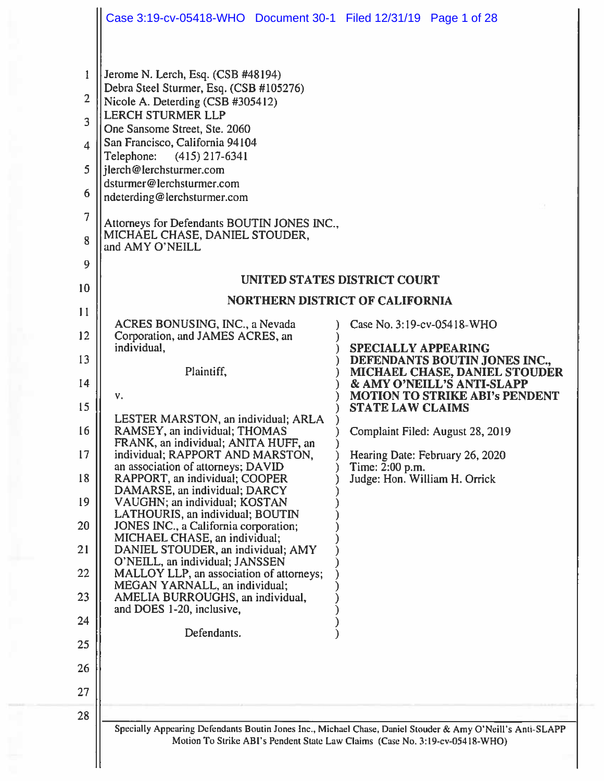|                                                                                             | Case 3:19-cv-05418-WHO  Document 30-1  Filed 12/31/19  Page 1 of 28                                                                                                                                                                                                                                                                                                                                                                             |                                                                                                                                                                                            |
|---------------------------------------------------------------------------------------------|-------------------------------------------------------------------------------------------------------------------------------------------------------------------------------------------------------------------------------------------------------------------------------------------------------------------------------------------------------------------------------------------------------------------------------------------------|--------------------------------------------------------------------------------------------------------------------------------------------------------------------------------------------|
| $\mathbf{1}$<br>$\overline{2}$<br>3<br>$\overline{4}$<br>5<br>6<br>$\overline{7}$<br>8<br>9 | Jerome N. Lerch, Esq. (CSB #48194)<br>Debra Steel Sturmer, Esq. (CSB #105276)<br>Nicole A. Deterding (CSB #305412)<br><b>LERCH STURMER LLP</b><br>One Sansome Street, Ste. 2060<br>San Francisco, California 94104<br>Telephone:<br>$(415)$ 217-6341<br>jlerch@lerchsturmer.com<br>dsturmer@lerchsturmer.com<br>ndeterding@lerchsturmer.com<br>Attorneys for Defendants BOUTIN JONES INC.,<br>MICHAEL CHASE, DANIEL STOUDER,<br>and AMY O'NEILL |                                                                                                                                                                                            |
| 10                                                                                          |                                                                                                                                                                                                                                                                                                                                                                                                                                                 | <b>UNITED STATES DISTRICT COURT</b>                                                                                                                                                        |
| 11                                                                                          |                                                                                                                                                                                                                                                                                                                                                                                                                                                 | <b>NORTHERN DISTRICT OF CALIFORNIA</b>                                                                                                                                                     |
| 12                                                                                          | ACRES BONUSING, INC., a Nevada<br>Corporation, and JAMES ACRES, an                                                                                                                                                                                                                                                                                                                                                                              | Case No. 3:19-cv-05418-WHO                                                                                                                                                                 |
| 13                                                                                          | individual,                                                                                                                                                                                                                                                                                                                                                                                                                                     | SPECIALLY APPEARING<br>DEFENDANTS BOUTIN JONES INC.,                                                                                                                                       |
| 14                                                                                          | Plaintiff,                                                                                                                                                                                                                                                                                                                                                                                                                                      | MICHAEL CHASE, DANIEL STOUDER<br>& AMY O'NEILL'S ANTI-SLAPP                                                                                                                                |
| 15                                                                                          | v.                                                                                                                                                                                                                                                                                                                                                                                                                                              | <b>MOTION TO STRIKE ABI's PENDENT</b><br><b>STATE LAW CLAIMS</b>                                                                                                                           |
| 16                                                                                          | LESTER MARSTON, an individual; ARLA<br>RAMSEY, an individual; THOMAS                                                                                                                                                                                                                                                                                                                                                                            | Complaint Filed: August 28, 2019                                                                                                                                                           |
| 17                                                                                          | FRANK, an individual; ANITA HUFF, an<br>individual; RAPPORT AND MARSTON,<br>an association of attorneys; DAVID                                                                                                                                                                                                                                                                                                                                  | Hearing Date: February 26, 2020<br>Time: $2:00$ p.m.                                                                                                                                       |
| 18                                                                                          | RAPPORT, an individual; COOPER<br>DAMARSE, an individual; DARCY                                                                                                                                                                                                                                                                                                                                                                                 | Judge: Hon. William H. Orrick                                                                                                                                                              |
| 19                                                                                          | VAUGHN; an individual; KOSTAN<br>LATHOURIS, an individual; BOUTIN                                                                                                                                                                                                                                                                                                                                                                               |                                                                                                                                                                                            |
| 20<br>21                                                                                    | JONES INC., a California corporation;<br>MICHAEL CHASE, an individual;<br>DANIEL STOUDER, an individual; AMY                                                                                                                                                                                                                                                                                                                                    |                                                                                                                                                                                            |
| 22                                                                                          | O'NEILL, an individual; JANSSEN<br>MALLOY LLP, an association of attorneys;                                                                                                                                                                                                                                                                                                                                                                     |                                                                                                                                                                                            |
| 23                                                                                          | MEGAN YARNALL, an individual;<br>AMELIA BURROUGHS, an individual,                                                                                                                                                                                                                                                                                                                                                                               |                                                                                                                                                                                            |
| 24                                                                                          | and DOES 1-20, inclusive,                                                                                                                                                                                                                                                                                                                                                                                                                       |                                                                                                                                                                                            |
| 25                                                                                          | Defendants.                                                                                                                                                                                                                                                                                                                                                                                                                                     |                                                                                                                                                                                            |
| 26                                                                                          |                                                                                                                                                                                                                                                                                                                                                                                                                                                 |                                                                                                                                                                                            |
| 27                                                                                          |                                                                                                                                                                                                                                                                                                                                                                                                                                                 |                                                                                                                                                                                            |
| 28                                                                                          |                                                                                                                                                                                                                                                                                                                                                                                                                                                 |                                                                                                                                                                                            |
|                                                                                             |                                                                                                                                                                                                                                                                                                                                                                                                                                                 | Specially Appearing Defendants Boutin Jones Inc., Michael Chase, Daniel Stouder & Amy O'Neill's Anti-SLAPP<br>Motion To Strike ABI's Pendent State Law Claims (Case No. 3:19-cv-05418-WHO) |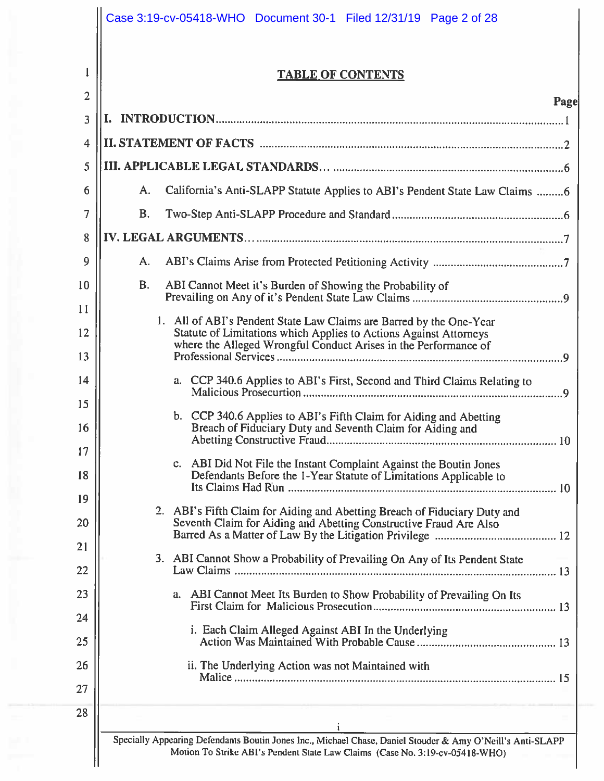|                | Case 3:19-cv-05418-WHO  Document 30-1  Filed 12/31/19  Page 2 of 28                                                                                                                                         |
|----------------|-------------------------------------------------------------------------------------------------------------------------------------------------------------------------------------------------------------|
|                | <b>TABLE OF CONTENTS</b>                                                                                                                                                                                    |
| $\overline{2}$ | Page                                                                                                                                                                                                        |
| 3              |                                                                                                                                                                                                             |
| $\overline{4}$ |                                                                                                                                                                                                             |
| 5              |                                                                                                                                                                                                             |
| 6              | California's Anti-SLAPP Statute Applies to ABI's Pendent State Law Claims 6<br>A.                                                                                                                           |
| 7              | <b>B.</b>                                                                                                                                                                                                   |
| 8              |                                                                                                                                                                                                             |
| 9              | A.                                                                                                                                                                                                          |
| 10             | В.<br>ABI Cannot Meet it's Burden of Showing the Probability of                                                                                                                                             |
| 11             |                                                                                                                                                                                                             |
| 12             | 1. All of ABI's Pendent State Law Claims are Barred by the One-Year<br>Statute of Limitations which Applies to Actions Against Attorneys<br>where the Alleged Wrongful Conduct Arises in the Performance of |
| 13             |                                                                                                                                                                                                             |
| 14             | a. CCP 340.6 Applies to ABI's First, Second and Third Claims Relating to                                                                                                                                    |
| 15<br>16       | b. CCP 340.6 Applies to ABI's Fifth Claim for Aiding and Abetting<br>Breach of Fiduciary Duty and Seventh Claim for Aiding and<br>10                                                                        |
| 17<br>18       | c. ABI Did Not File the Instant Complaint Against the Boutin Jones<br>Defendants Before the 1-Year Statute of Limitations Applicable to                                                                     |
| 19             | 2. ABI's Fifth Claim for Aiding and Abetting Breach of Fiduciary Duty and                                                                                                                                   |
| 20             | Seventh Claim for Aiding and Abetting Constructive Fraud Are Also                                                                                                                                           |
| 21<br>22       | 3. ABI Cannot Show a Probability of Prevailing On Any of Its Pendent State                                                                                                                                  |
| 23             | a. ABI Cannot Meet Its Burden to Show Probability of Prevailing On Its                                                                                                                                      |
| 24             |                                                                                                                                                                                                             |
| 25             | i. Each Claim Alleged Against ABI In the Underlying                                                                                                                                                         |
| 26             | ii. The Underlying Action was not Maintained with                                                                                                                                                           |
| 27             |                                                                                                                                                                                                             |
| 28             |                                                                                                                                                                                                             |
|                | Specially Appearing Defendants Boutin Jones Inc., Michael Chase, Daniel Stouder & Amy O'Neill's Anti-SLAPP<br>Motion To Strike ABI's Pendent State Law Claims (Case No. 3:19-cv-05418-WHO)                  |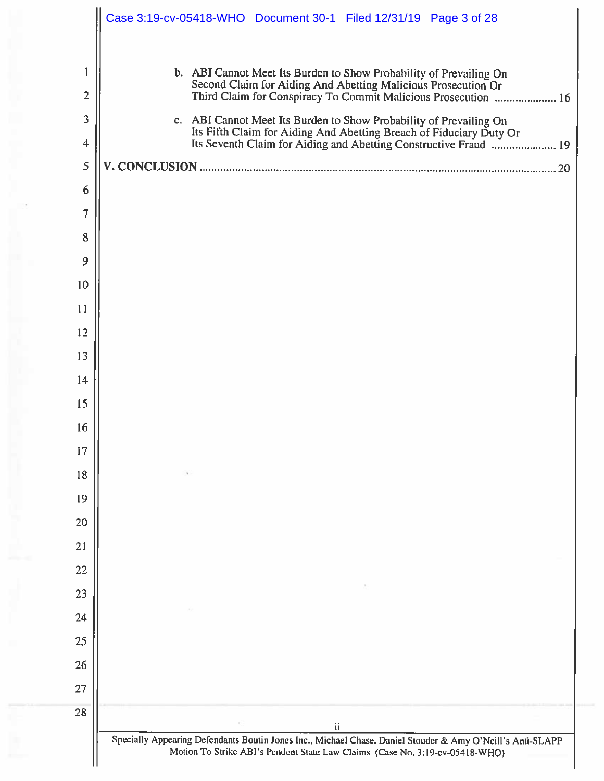|                | Case 3:19-cv-05418-WHO  Document 30-1  Filed 12/31/19  Page 3 of 28                                                                                                                                         |
|----------------|-------------------------------------------------------------------------------------------------------------------------------------------------------------------------------------------------------------|
|                | b. ABI Cannot Meet Its Burden to Show Probability of Prevailing On                                                                                                                                          |
| $\overline{2}$ | Second Claim for Aiding And Abetting Malicious Prosecution Or<br>Third Claim for Conspiracy To Commit Malicious Prosecution  16                                                                             |
| 3              | c. ABI Cannot Meet Its Burden to Show Probability of Prevailing On                                                                                                                                          |
| $\overline{4}$ |                                                                                                                                                                                                             |
| 5              |                                                                                                                                                                                                             |
| 6              |                                                                                                                                                                                                             |
| 7              |                                                                                                                                                                                                             |
| 8              |                                                                                                                                                                                                             |
| 9              |                                                                                                                                                                                                             |
| 10             |                                                                                                                                                                                                             |
| 11             |                                                                                                                                                                                                             |
| 12             |                                                                                                                                                                                                             |
| 13             |                                                                                                                                                                                                             |
| 14             |                                                                                                                                                                                                             |
| 15             |                                                                                                                                                                                                             |
| 16             |                                                                                                                                                                                                             |
| 17             |                                                                                                                                                                                                             |
| 18<br>19       |                                                                                                                                                                                                             |
| 20             |                                                                                                                                                                                                             |
| 21             |                                                                                                                                                                                                             |
| 22             |                                                                                                                                                                                                             |
| 23             |                                                                                                                                                                                                             |
| 24             |                                                                                                                                                                                                             |
| 25             |                                                                                                                                                                                                             |
| 26             |                                                                                                                                                                                                             |
| 27             |                                                                                                                                                                                                             |
| 28             |                                                                                                                                                                                                             |
|                | $\mathbf{ii}$<br>Specially Appearing Defendants Boutin Jones Inc., Michael Chase, Daniel Stouder & Amy O'Neill's Anti-SLAPP<br>Motion To Strike ABI's Pendent State Law Claims (Case No. 3:19-cv-05418-WHO) |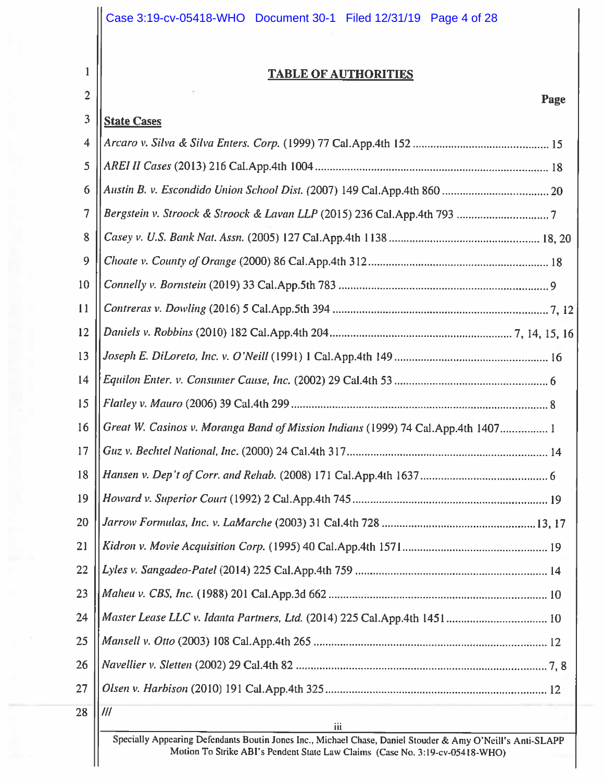|                                                                                                                    | Case 3:19-cv-05418-WHO  Document 30-1  Filed 12/31/19  Page 4 of 28              |  |
|--------------------------------------------------------------------------------------------------------------------|----------------------------------------------------------------------------------|--|
| 1<br>$\overline{2}$                                                                                                | <b>TABLE OF AUTHORITIES</b><br>Page                                              |  |
| 3                                                                                                                  | <b>State Cases</b>                                                               |  |
| $\overline{\mathbf{4}}$                                                                                            |                                                                                  |  |
| 5                                                                                                                  |                                                                                  |  |
| 6                                                                                                                  |                                                                                  |  |
| 7                                                                                                                  |                                                                                  |  |
| 8                                                                                                                  |                                                                                  |  |
| 9                                                                                                                  |                                                                                  |  |
| 10                                                                                                                 |                                                                                  |  |
| 11                                                                                                                 |                                                                                  |  |
| 12                                                                                                                 |                                                                                  |  |
| 13                                                                                                                 |                                                                                  |  |
| 14                                                                                                                 |                                                                                  |  |
| 15                                                                                                                 |                                                                                  |  |
| 16                                                                                                                 | Great W. Casinos v. Moranga Band of Mission Indians (1999) 74 Cal.App.4th 1407 1 |  |
| 17                                                                                                                 |                                                                                  |  |
| 18                                                                                                                 |                                                                                  |  |
| 19                                                                                                                 |                                                                                  |  |
| 20                                                                                                                 |                                                                                  |  |
| 21                                                                                                                 |                                                                                  |  |
| 22                                                                                                                 |                                                                                  |  |
| 23                                                                                                                 |                                                                                  |  |
| 24                                                                                                                 | Master Lease LLC v. Idanta Partners, Ltd. (2014) 225 Cal.App.4th 1451 10         |  |
| 25                                                                                                                 |                                                                                  |  |
| 26                                                                                                                 |                                                                                  |  |
| 27                                                                                                                 |                                                                                  |  |
| 28                                                                                                                 | III                                                                              |  |
| iii<br>III<br>Specially Appearing Defendants Boutin Jance Inc., Michael Chase, David Stauder, & Amy O'M-1911, A. 1 |                                                                                  |  |

Specially Appearing Defendants Boutin Jones Inc., Michael Chase, Daniel Stouder & Amy O'Neill's Anti-SLAPP Motion To Strike ABI's Pendent State Law Claims (Case No. 3:19-cv-05418-WHO)

Ш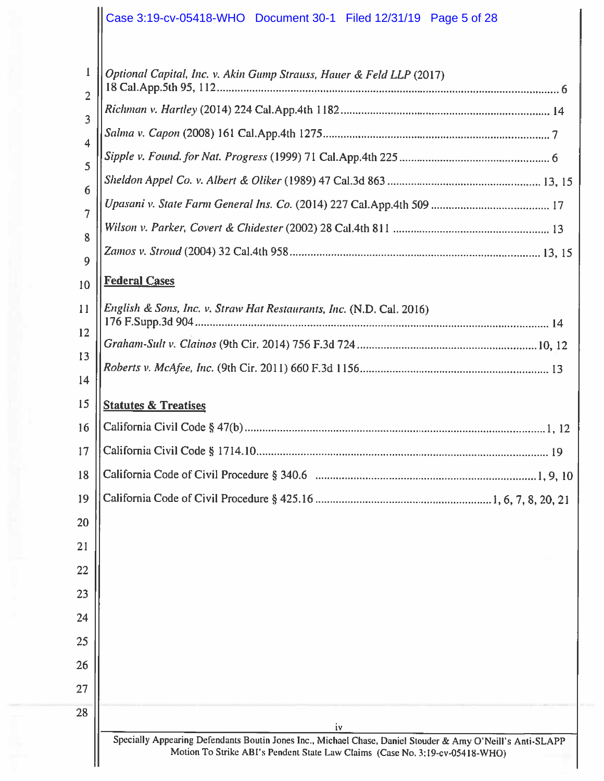# Case 3:19-cv-05418-WHO Document 30-1 Filed 12/31/19 Page 5 of 28

| 1<br>$\overline{2}$ | Optional Capital, Inc. v. Akin Gump Strauss, Hauer & Feld LLP (2017)                                                                                                                       |
|---------------------|--------------------------------------------------------------------------------------------------------------------------------------------------------------------------------------------|
| 3<br>$\overline{4}$ |                                                                                                                                                                                            |
|                     |                                                                                                                                                                                            |
| 5                   |                                                                                                                                                                                            |
| 6                   |                                                                                                                                                                                            |
| $\overline{7}$      |                                                                                                                                                                                            |
| 8                   |                                                                                                                                                                                            |
| 9                   |                                                                                                                                                                                            |
| 10                  | <b>Federal Cases</b>                                                                                                                                                                       |
| 11                  | English & Sons, Inc. v. Straw Hat Restaurants, Inc. (N.D. Cal. 2016)                                                                                                                       |
| 12                  |                                                                                                                                                                                            |
| 13                  |                                                                                                                                                                                            |
| 14                  |                                                                                                                                                                                            |
| 15                  | <b>Statutes &amp; Treatises</b>                                                                                                                                                            |
| 16                  |                                                                                                                                                                                            |
| 17                  |                                                                                                                                                                                            |
| 18                  |                                                                                                                                                                                            |
| 19                  |                                                                                                                                                                                            |
| 20                  |                                                                                                                                                                                            |
| 21                  |                                                                                                                                                                                            |
| 22                  |                                                                                                                                                                                            |
| 23                  |                                                                                                                                                                                            |
| 24                  |                                                                                                                                                                                            |
| 25                  |                                                                                                                                                                                            |
| 26                  |                                                                                                                                                                                            |
| 27                  |                                                                                                                                                                                            |
| 28                  | iv                                                                                                                                                                                         |
|                     | Specially Appearing Defendants Boutin Jones Inc., Michael Chase, Daniel Stouder & Amy O'Neill's Anti-SLAPP<br>Motion To Strike ABI's Pendent State Law Claims (Case No. 3:19-cv-05418-WHO) |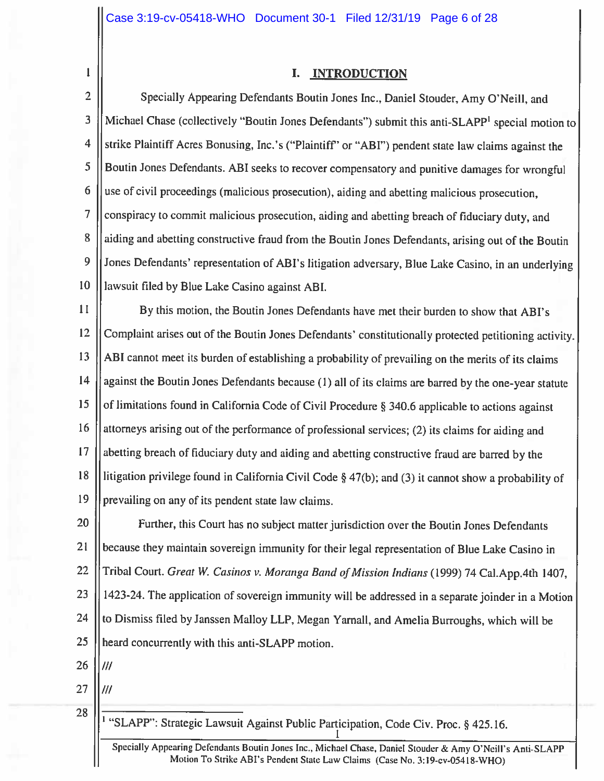# I. INTRODUCTION

 $\overline{2}$ Specially Appearing Defendants Boutin Jones Inc., Daniel Stouder, Amy O'Neill, and 3 Michael Chase (collectively "Boutin Jones Defendants") submit this anti-SLAPP<sup>1</sup> special motion to  $\overline{4}$ strike Plaintiff Acres Bonusing, Inc.'s ("Plaintiff" or "ABI") pendent state law claims against the 5 Boutin Jones Defendants. ABI seeks to recover compensatory and punitive damages for wrongful 6 use of civil proceedings (malicious prosecution), aiding and abetting malicious prosecution,  $\overline{7}$ conspiracy to commit malicious prosecution, aiding and abetting breach of fiduciary duty, and 8 aiding and abetting constructive fraud from the Boutin Jones Defendants, arising out of the Boutin 9 Jones Defendants' representation of ABI's litigation adversary, Blue Lake Casino, in an underlying 10 lawsuit filed by Blue Lake Casino against ABI.

11 By this motion, the Boutin Jones Defendants have met their burden to show that ABI's 12 Complaint arises out of the Boutin Jones Defendants' constitutionally protected petitioning activity. 13 ABI cannot meet its burden of establishing a probability of prevailing on the merits of its claims 14 against the Boutin Jones Defendants because (1) all of its claims are barred by the one-year statute 15 of limitations found in California Code of Civil Procedure § 340.6 applicable to actions against 16 attorneys arising out of the performance of professional services; (2) its claims for aiding and 17 abetting breach of fiduciary duty and aiding and abetting constructive fraud are barred by the 18 litigation privilege found in California Civil Code  $\S$  47(b); and (3) it cannot show a probability of 19 prevailing on any of its pendent state law claims.

20 Further, this Court has no subject matter jurisdiction over the Boutin Jones Defendants 21 because they maintain sovereign immunity for their legal representation of Blue Lake Casino in 22 Tribal Court. Great W. Casinos v. Moranga Band of Mission Indians (1999) 74 Cal. App. 4th 1407, 23 1423-24. The application of sovereign immunity will be addressed in a separate joinder in a Motion 24 to Dismiss filed by Janssen Malloy LLP, Megan Yarnall, and Amelia Burroughs, which will be 25 heard concurrently with this anti-SLAPP motion.

26  $III$ 

 $\mathbf{1}$ 

27

///

28

<sup>1</sup> "SLAPP": Strategic Lawsuit Against Public Participation, Code Civ. Proc. § 425.16.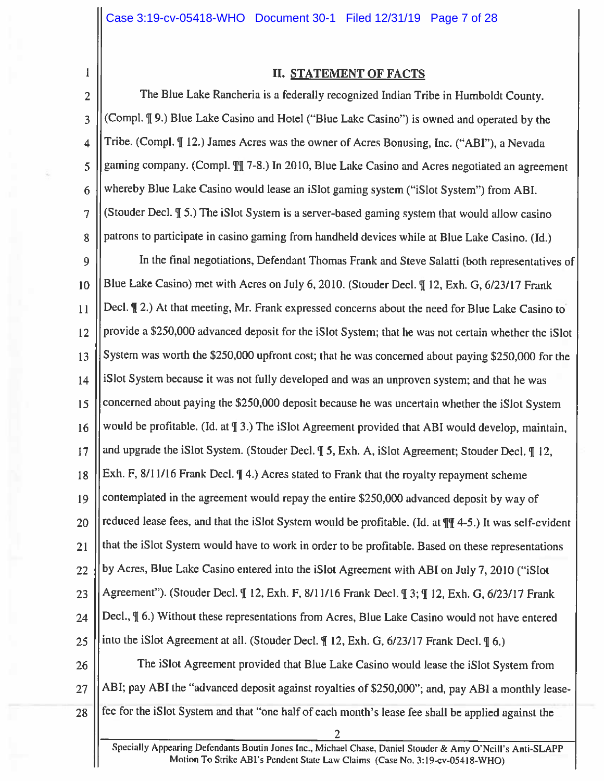$\mathbf{1}$ 

# **II. STATEMENT OF FACTS**

The Blue Lake Rancheria is a federally recognized Indian Tribe in Humboldt County.  $\overline{2}$ (Compl. ¶ 9.) Blue Lake Casino and Hotel ("Blue Lake Casino") is owned and operated by the 3 Tribe. (Compl. ¶ 12.) James Acres was the owner of Acres Bonusing, Inc. ("ABI"), a Nevada  $\overline{\mathbf{4}}$ gaming company. (Compl.  $\int$ ] 7-8.) In 2010, Blue Lake Casino and Acres negotiated an agreement 5 whereby Blue Lake Casino would lease an iSlot gaming system ("iSlot System") from ABI. 6 (Stouder Decl. ¶ 5.) The iSlot System is a server-based gaming system that would allow casino  $\overline{7}$ patrons to participate in casino gaming from handheld devices while at Blue Lake Casino. (Id.) 8

In the final negotiations, Defendant Thomas Frank and Steve Salatti (both representatives of 9 Blue Lake Casino) met with Acres on July 6, 2010. (Stouder Decl. ¶ 12, Exh. G, 6/23/17 Frank  $10$ Decl. (2.) At that meeting, Mr. Frank expressed concerns about the need for Blue Lake Casino to  $11$ provide a \$250,000 advanced deposit for the iSlot System; that he was not certain whether the iSlot  $12$ System was worth the \$250,000 upfront cost; that he was concerned about paying \$250,000 for the 13 iSlot System because it was not fully developed and was an unproven system; and that he was 14 concerned about paying the \$250,000 deposit because he was uncertain whether the iSlot System 15 would be profitable. (Id. at  $\frac{1}{3}$ .) The iSlot Agreement provided that ABI would develop, maintain, 16 and upgrade the iSlot System. (Stouder Decl. ¶ 5, Exh. A, iSlot Agreement; Stouder Decl. ¶ 12,  $17$ Exh. F, 8/11/16 Frank Decl.  $\P$  4.) Acres stated to Frank that the royalty repayment scheme 18 contemplated in the agreement would repay the entire \$250,000 advanced deposit by way of 19 reduced lease fees, and that the iSlot System would be profitable. (Id. at  $\P$  4-5.) It was self-evident 20 that the iSlot System would have to work in order to be profitable. Based on these representations  $21$ by Acres, Blue Lake Casino entered into the iSlot Agreement with ABI on July 7, 2010 ("iSlot 22 Agreement"). (Stouder Decl. ¶ 12, Exh. F, 8/11/16 Frank Decl. ¶ 3; ¶ 12, Exh. G, 6/23/17 Frank 23 Decl.,  $\P$  6.) Without these representations from Acres, Blue Lake Casino would not have entered 24 into the iSlot Agreement at all. (Stouder Decl.  $\P$  12, Exh. G, 6/23/17 Frank Decl.  $\P$  6.) 25 The iSlot Agreement provided that Blue Lake Casino would lease the iSlot System from 26 ABI; pay ABI the "advanced deposit against royalties of \$250,000"; and, pay ABI a monthly lease-27 fee for the iSlot System and that "one half of each month's lease fee shall be applied against the 28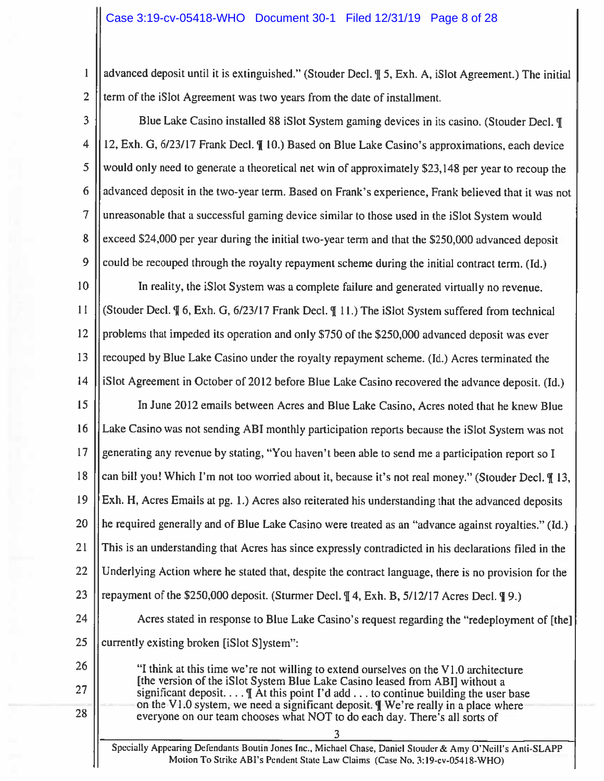$\mathbf{1}$ advanced deposit until it is extinguished." (Stouder Decl. ¶ 5, Exh. A, iSlot Agreement.) The initial  $\overline{2}$ term of the iSlot Agreement was two years from the date of installment.

3 Blue Lake Casino installed 88 iSlot System gaming devices in its casino. (Stouder Decl. ¶ 4 12, Exh. G, 6/23/17 Frank Decl. ¶ 10.) Based on Blue Lake Casino's approximations, each device 5 would only need to generate a theoretical net win of approximately \$23,148 per year to recoup the 6 advanced deposit in the two-year term. Based on Frank's experience, Frank believed that it was not 7 unreasonable that a successful gaming device similar to those used in the iSlot System would 8 exceed \$24,000 per year during the initial two-year term and that the \$250,000 advanced deposit  $\overline{9}$ could be recouped through the royalty repayment scheme during the initial contract term. (Id.) 10 In reality, the iSlot System was a complete failure and generated virtually no revenue.

 $11$ (Stouder Decl. ¶ 6, Exh. G, 6/23/17 Frank Decl. ¶ 11.) The iSlot System suffered from technical 12 problems that impeded its operation and only \$750 of the \$250,000 advanced deposit was ever 13 recouped by Blue Lake Casino under the royalty repayment scheme. (Id.) Acres terminated the  $14$ iSlot Agreement in October of 2012 before Blue Lake Casino recovered the advance deposit. (Id.)

15 In June 2012 emails between Acres and Blue Lake Casino, Acres noted that he knew Blue 16 Lake Casino was not sending ABI monthly participation reports because the iSlot System was not  $17$ generating any revenue by stating, "You haven't been able to send me a participation report so I 18 can bill you! Which I'm not too worried about it, because it's not real money." (Stouder Decl. ¶ 13, 19 Exh. H, Acres Emails at pg. 1.) Acres also reiterated his understanding that the advanced deposits he required generally and of Blue Lake Casino were treated as an "advance against royalties." (Id.) 20  $21$ This is an understanding that Acres has since expressly contradicted in his declarations filed in the 22 Underlying Action where he stated that, despite the contract language, there is no provision for the 23 repayment of the \$250,000 deposit. (Sturmer Decl.  $\parallel$  4, Exh. B, 5/12/17 Acres Decl.  $\parallel$  9.)

24 Acres stated in response to Blue Lake Casino's request regarding the "redeployment of [the] 25 currently existing broken [iSlot S]ystem":

"I think at this time we're not willing to extend ourselves on the V1.0 architecture [the version of the iSlot System Blue Lake Casino leased from ABI] without a significant deposit....  $\parallel$  At this point I'd add ... to continue building the user base on the V1.0 system, we need a significant deposit. TWe're really in a place where everyone on our team chooses what NOT to do each day. There's all sorts of

26

27

28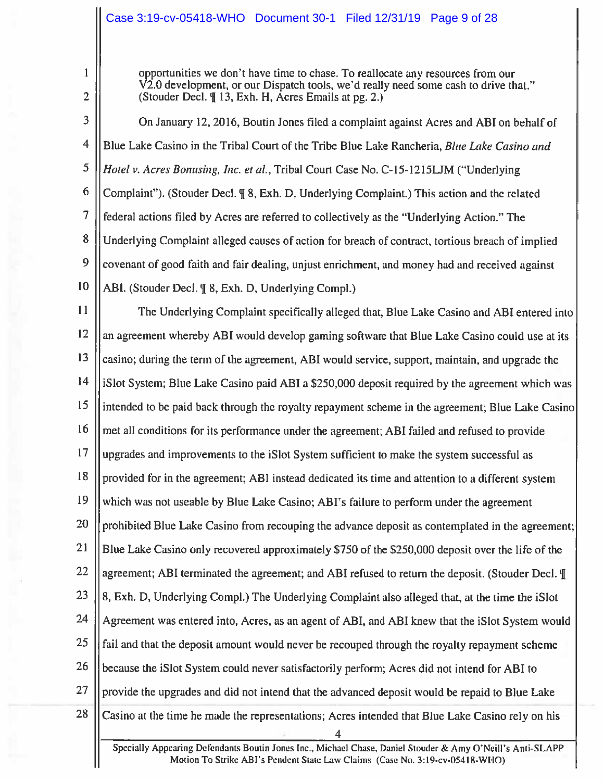# Case 3:19-cv-05418-WHO Document 30-1 Filed 12/31/19 Page 9 of 28

 $\mathbf{1}$ 

 $\overline{2}$ 

opportunities we don't have time to chase. To reallocate any resources from our V2.0 development, or our Dispatch tools, we'd really need some cash to drive that." (Stouder Decl. ¶ 13, Exh. H, Acres Emails at pg. 2.)

3 On January 12, 2016, Boutin Jones filed a complaint against Acres and ABI on behalf of  $\overline{4}$ Blue Lake Casino in the Tribal Court of the Tribe Blue Lake Rancheria, Blue Lake Casino and 5 *Hotel v. Acres Bonusing, Inc. et al., Tribal Court Case No. C-15-1215LJM ("Underlying* 6 Complaint"). (Stouder Decl. ¶ 8, Exh. D, Underlying Complaint.) This action and the related 7 federal actions filed by Acres are referred to collectively as the "Underlying Action." The 8 Underlying Complaint alleged causes of action for breach of contract, tortious breach of implied 9 covenant of good faith and fair dealing, unjust enrichment, and money had and received against 10 ABI. (Stouder Decl. ¶ 8, Exh. D, Underlying Compl.)

 $11$ The Underlying Complaint specifically alleged that, Blue Lake Casino and ABI entered into 12 an agreement whereby ABI would develop gaming software that Blue Lake Casino could use at its 13 casino; during the term of the agreement, ABI would service, support, maintain, and upgrade the  $14$ iSlot System; Blue Lake Casino paid ABI a \$250,000 deposit required by the agreement which was  $15$ intended to be paid back through the royalty repayment scheme in the agreement; Blue Lake Casino 16 met all conditions for its performance under the agreement; ABI failed and refused to provide 17 upgrades and improvements to the iSlot System sufficient to make the system successful as 18 provided for in the agreement; ABI instead dedicated its time and attention to a different system 19 which was not useable by Blue Lake Casino; ABI's failure to perform under the agreement 20 prohibited Blue Lake Casino from recouping the advance deposit as contemplated in the agreement; 21 Blue Lake Casino only recovered approximately \$750 of the \$250,000 deposit over the life of the 22 agreement; ABI terminated the agreement; and ABI refused to return the deposit. (Stouder Decl.  $\P$ ) 23 8, Exh. D, Underlying Compl.) The Underlying Complaint also alleged that, at the time the iSlot 24 Agreement was entered into, Acres, as an agent of ABI, and ABI knew that the iSlot System would 25 fail and that the deposit amount would never be recouped through the royalty repayment scheme 26 because the iSlot System could never satisfactorily perform; Acres did not intend for ABI to 27 provide the upgrades and did not intend that the advanced deposit would be repaid to Blue Lake 28 Casino at the time he made the representations; Acres intended that Blue Lake Casino rely on his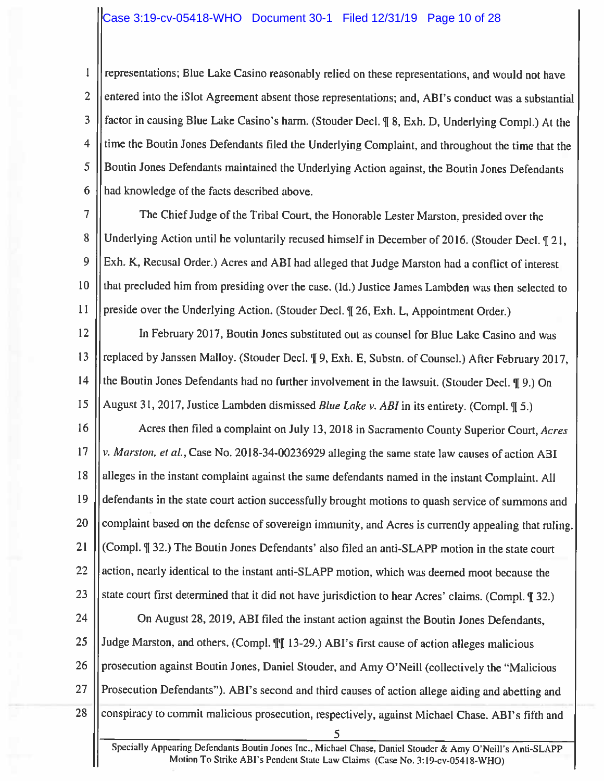# Case 3:19-cv-05418-WHO Document 30-1 Filed 12/31/19 Page 10 of 28

representations; Blue Lake Casino reasonably relied on these representations, and would not have  $\mathbf{1}$ entered into the iSlot Agreement absent those representations; and, ABI's conduct was a substantial  $\overline{2}$ factor in causing Blue Lake Casino's harm. (Stouder Decl. ¶ 8, Exh. D, Underlying Compl.) At the 3 time the Boutin Jones Defendants filed the Underlying Complaint, and throughout the time that the 4 Boutin Jones Defendants maintained the Underlying Action against, the Boutin Jones Defendants 5 6 had knowledge of the facts described above.

 $\overline{7}$ The Chief Judge of the Tribal Court, the Honorable Lester Marston, presided over the 8 Underlying Action until he voluntarily recused himself in December of 2016. (Stouder Decl. 121, 9 Exh. K, Recusal Order.) Acres and ABI had alleged that Judge Marston had a conflict of interest 10 that precluded him from presiding over the case. (Id.) Justice James Lambden was then selected to  $11$ preside over the Underlying Action. (Stouder Decl. ¶ 26, Exh. L, Appointment Order.)

12 In February 2017, Boutin Jones substituted out as counsel for Blue Lake Casino and was replaced by Janssen Malloy. (Stouder Decl. ¶ 9, Exh. E, Substn. of Counsel.) After February 2017, 13 14 the Boutin Jones Defendants had no further involvement in the lawsuit. (Stouder Decl. ¶ 9.) On 15 August 31, 2017, Justice Lambden dismissed *Blue Lake v. ABI* in its entirety. (Compl. ¶ 5.)

16 Acres then filed a complaint on July 13, 2018 in Sacramento County Superior Court, Acres 17 v. Marston, et al., Case No. 2018-34-00236929 alleging the same state law causes of action ABI alleges in the instant complaint against the same defendants named in the instant Complaint. All 18 19 defendants in the state court action successfully brought motions to quash service of summons and 20 complaint based on the defense of sovereign immunity, and Acres is currently appealing that ruling. 21 (Compl. ¶ 32.) The Boutin Jones Defendants' also filed an anti-SLAPP motion in the state court 22 action, nearly identical to the instant anti-SLAPP motion, which was deemed moot because the 23 state court first determined that it did not have jurisdiction to hear Acres' claims. (Compl. ¶ 32.)

24 On August 28, 2019, ABI filed the instant action against the Boutin Jones Defendants, 25 Judge Marston, and others. (Compl.  $\P$ [ 13-29.) ABI's first cause of action alleges malicious 26 prosecution against Boutin Jones, Daniel Stouder, and Amy O'Neill (collectively the "Malicious Prosecution Defendants"). ABI's second and third causes of action allege aiding and abetting and 27 28 conspiracy to commit malicious prosecution, respectively, against Michael Chase. ABI's fifth and 5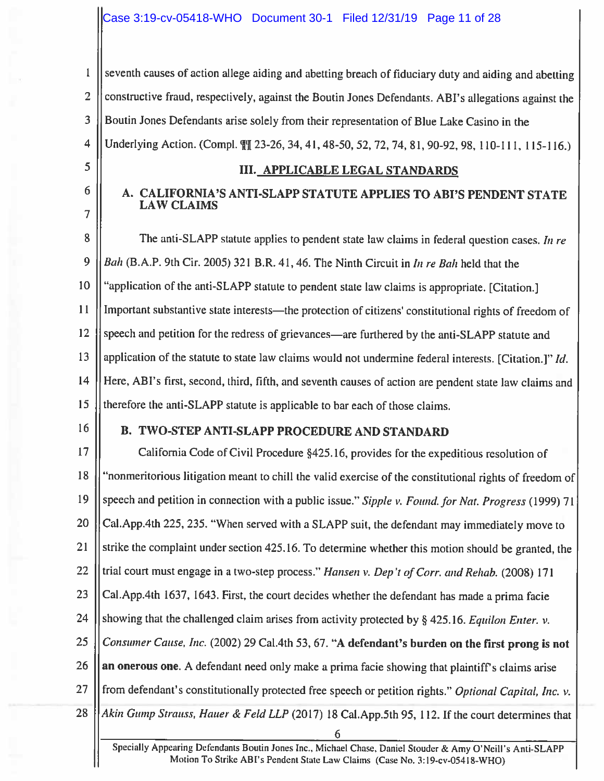seventh causes of action allege aiding and abetting breach of fiduciary duty and aiding and abetting  $\mathbf{1}$  $\overline{2}$ constructive fraud, respectively, against the Boutin Jones Defendants. ABI's allegations against the 3 Boutin Jones Defendants arise solely from their representation of Blue Lake Casino in the Underlying Action. (Compl. \[] 23-26, 34, 41, 48-50, 52, 72, 74, 81, 90-92, 98, 110-111, 115-116.)  $\overline{4}$ 

## **III. APPLICABLE LEGAL STANDARDS**

# A. CALIFORNIA'S ANTI-SLAPP STATUTE APPLIES TO ABI'S PENDENT STATE **LAW CLAIMS**

8 The anti-SLAPP statute applies to pendent state law claims in federal question cases. In re 9 Bah (B.A.P. 9th Cir. 2005) 321 B.R. 41, 46. The Ninth Circuit in In re Bah held that the "application of the anti-SLAPP statute to pendent state law claims is appropriate. [Citation.] 10  $11$ Important substantive state interests—the protection of citizens' constitutional rights of freedom of 12 speech and petition for the redress of grievances—are furthered by the anti-SLAPP statute and 13 application of the statute to state law claims would not undermine federal interests. [Citation.]" Id.  $14$ Here, ABI's first, second, third, fifth, and seventh causes of action are pendent state law claims and 15 therefore the anti-SLAPP statute is applicable to bar each of those claims.

16

5

6

 $\overline{7}$ 

## **B. TWO-STEP ANTI-SLAPP PROCEDURE AND STANDARD**

17 California Code of Civil Procedure §425.16, provides for the expeditious resolution of 18 "nonmeritorious litigation meant to chill the valid exercise of the constitutional rights of freedom of 19 speech and petition in connection with a public issue." Sipple v. Found. for Nat. Progress (1999) 71 Cal. App. 4th 225, 235. "When served with a SLAPP suit, the defendant may immediately move to 20 21 strike the complaint under section 425.16. To determine whether this motion should be granted, the 22 trial court must engage in a two-step process." Hansen v. Dep't of Corr. and Rehab. (2008) 171 Cal.App.4th 1637, 1643. First, the court decides whether the defendant has made a prima facie 23 24 showing that the challenged claim arises from activity protected by  $\S$  425.16. Equilon Enter. v. 25 Consumer Cause, Inc. (2002) 29 Cal.4th 53, 67. "A defendant's burden on the first prong is not 26 an onerous one. A defendant need only make a prima facie showing that plaintiff's claims arise 27 from defendant's constitutionally protected free speech or petition rights." Optional Capital, Inc. v. Akin Gump Strauss, Hauer & Feld LLP (2017) 18 Cal. App.5th 95, 112. If the court determines that 28 6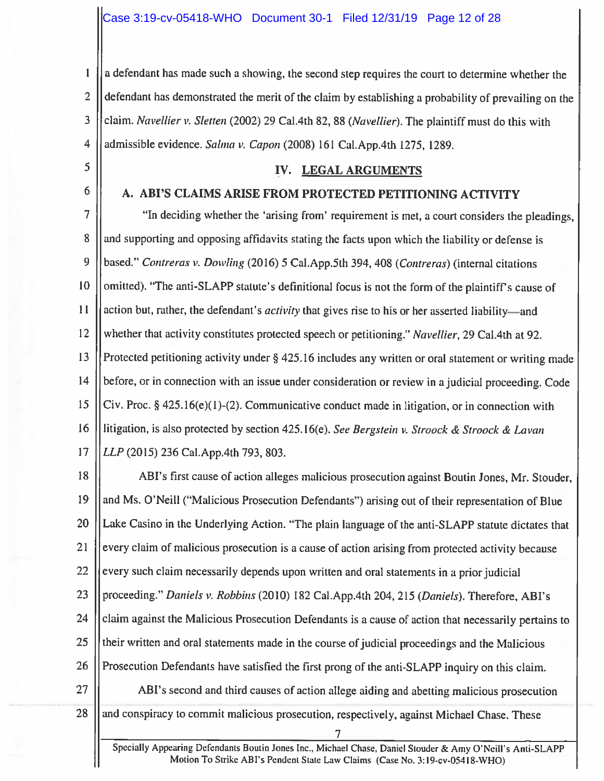$\mathbf{I}$ a defendant has made such a showing, the second step requires the court to determine whether the  $\overline{2}$ defendant has demonstrated the merit of the claim by establishing a probability of prevailing on the 3 claim. Navellier v. Sletten (2002) 29 Cal.4th 82, 88 (Navellier). The plaintiff must do this with  $\overline{4}$ admissible evidence. Salma v. Capon (2008) 161 Cal.App.4th 1275, 1289.

- 5
- 6

# A. ABI'S CLAIMS ARISE FROM PROTECTED PETITIONING ACTIVITY

IV. LEGAL ARGUMENTS

 $\overline{7}$ "In deciding whether the 'arising from' requirement is met, a court considers the pleadings, 8 and supporting and opposing affidavits stating the facts upon which the liability or defense is 9 based." Contreras v. Dowling (2016) 5 Cal.App.5th 394, 408 (Contreras) (internal citations omitted). "The anti-SLAPP statute's definitional focus is not the form of the plaintiff's cause of 10  $11$ action but, rather, the defendant's *activity* that gives rise to his or her asserted liability—and whether that activity constitutes protected speech or petitioning." Navellier, 29 Cal.4th at 92.  $12$ 13 Protected petitioning activity under § 425.16 includes any written or oral statement or writing made 14 before, or in connection with an issue under consideration or review in a judicial proceeding. Code 15 Civ. Proc.  $\S$  425.16(e)(1)-(2). Communicative conduct made in litigation, or in connection with 16 litigation, is also protected by section 425.16(e). See Bergstein v. Stroock & Stroock & Lavan 17 LLP (2015) 236 Cal.App.4th 793, 803.

18 ABI's first cause of action alleges malicious prosecution against Boutin Jones, Mr. Stouder, 19 and Ms. O'Neill ("Malicious Prosecution Defendants") arising out of their representation of Blue 20 Lake Casino in the Underlying Action. "The plain language of the anti-SLAPP statute dictates that 21 every claim of malicious prosecution is a cause of action arising from protected activity because 22 every such claim necessarily depends upon written and oral statements in a prior judicial proceeding." Daniels v. Robbins (2010) 182 Cal.App.4th 204, 215 (Daniels). Therefore, ABI's 23 24 claim against the Malicious Prosecution Defendants is a cause of action that necessarily pertains to 25 their written and oral statements made in the course of judicial proceedings and the Malicious 26 Prosecution Defendants have satisfied the first prong of the anti-SLAPP inquiry on this claim. 27 ABI's second and third causes of action allege aiding and abetting malicious prosecution 28 and conspiracy to commit malicious prosecution, respectively, against Michael Chase. These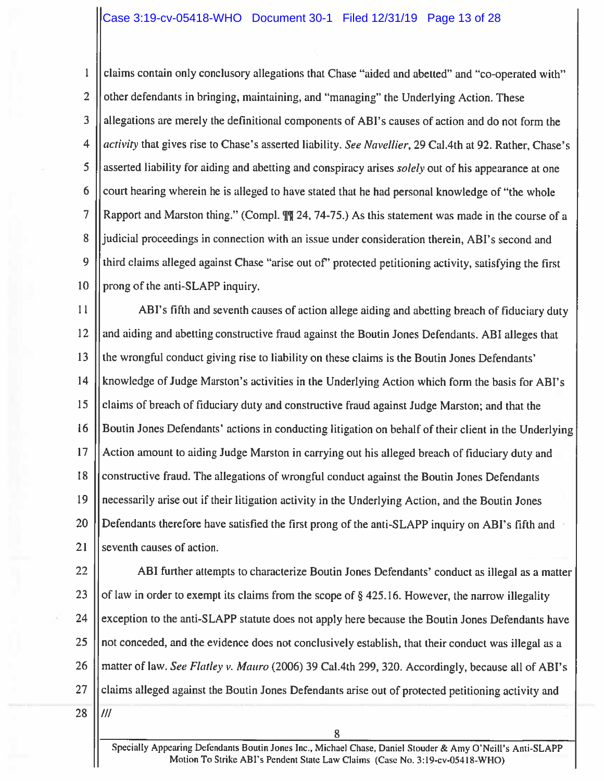$\mathbf{1}$ claims contain only conclusory allegations that Chase "aided and abetted" and "co-operated with"  $\overline{2}$ other defendants in bringing, maintaining, and "managing" the Underlying Action. These 3 allegations are merely the definitional components of ABI's causes of action and do not form the  $\overline{4}$ activity that gives rise to Chase's asserted liability. See Navellier, 29 Cal.4th at 92. Rather, Chase's 5 asserted liability for aiding and abetting and conspiracy arises solely out of his appearance at one 6 court hearing wherein he is alleged to have stated that he had personal knowledge of "the whole 7 Rapport and Marston thing." (Compl.  $\int \int \int$  24, 74-75.) As this statement was made in the course of a 8 judicial proceedings in connection with an issue under consideration therein, ABI's second and 9 third claims alleged against Chase "arise out of" protected petitioning activity, satisfying the first 10 prong of the anti-SLAPP inquiry.

 $11$ ABI's fifth and seventh causes of action allege aiding and abetting breach of fiduciary duty  $12$ and aiding and abetting constructive fraud against the Boutin Jones Defendants. ABI alleges that 13 the wrongful conduct giving rise to liability on these claims is the Boutin Jones Defendants'  $14$ knowledge of Judge Marston's activities in the Underlying Action which form the basis for ABI's 15 claims of breach of fiduciary duty and constructive fraud against Judge Marston; and that the 16 Boutin Jones Defendants' actions in conducting litigation on behalf of their client in the Underlying Action amount to aiding Judge Marston in carrying out his alleged breach of fiduciary duty and 17 constructive fraud. The allegations of wrongful conduct against the Boutin Jones Defendants 18 19 necessarily arise out if their litigation activity in the Underlying Action, and the Boutin Jones  $20$ Defendants therefore have satisfied the first prong of the anti-SLAPP inquiry on ABI's fifth and 21 seventh causes of action.

22 ABI further attempts to characterize Boutin Jones Defendants' conduct as illegal as a matter 23 of law in order to exempt its claims from the scope of  $\S$  425.16. However, the narrow illegality 24 exception to the anti-SLAPP statute does not apply here because the Boutin Jones Defendants have 25 not conceded, and the evidence does not conclusively establish, that their conduct was illegal as a 26 matter of law. See Flatley v. Mauro (2006) 39 Cal.4th 299, 320. Accordingly, because all of ABI's 27 claims alleged against the Boutin Jones Defendants arise out of protected petitioning activity and 28  $III$ 

Specially Appearing Defendants Boutin Jones Inc., Michael Chase, Daniel Stouder & Amy O'Neill's Anti-SLAPP Motion To Strike ABI's Pendent State Law Claims (Case No. 3:19-cv-05418-WHO)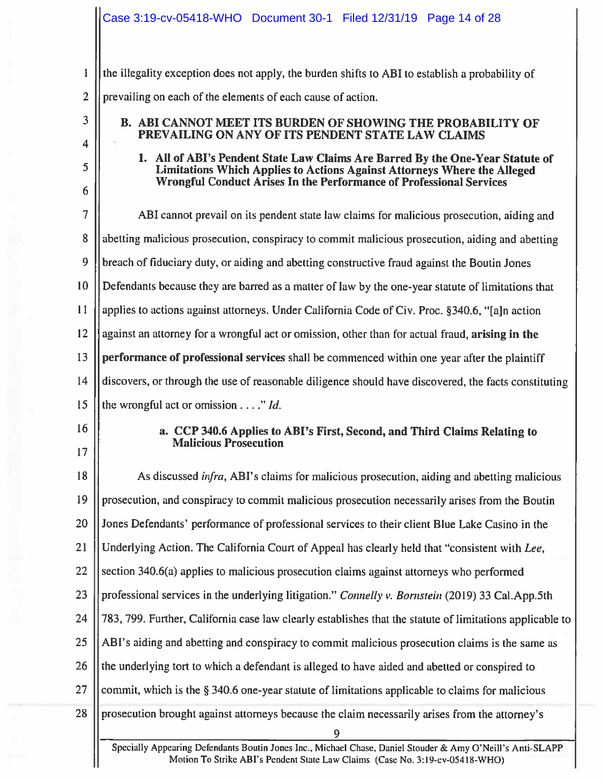$\mathbf{I}$ the illegality exception does not apply, the burden shifts to ABI to establish a probability of  $\overline{2}$ prevailing on each of the elements of each cause of action.

3

 $\overline{\mathbf{4}}$ 

5

6

# **B. ABI CANNOT MEET ITS BURDEN OF SHOWING THE PROBABILITY OF** PREVAILING ON ANY OF ITS PENDENT STATE LAW CLAIMS

1. All of ABI's Pendent State Law Claims Are Barred By the One-Year Statute of Limitations Which Applies to Actions Against Attorneys Where the Alleged Wrongful Conduct Arises In the Performance of Professional Services

 $\overline{7}$ ABI cannot prevail on its pendent state law claims for malicious prosecution, aiding and 8 abetting malicious prosecution, conspiracy to commit malicious prosecution, aiding and abetting 9 breach of fiduciary duty, or aiding and abetting constructive fraud against the Boutin Jones 10 Defendants because they are barred as a matter of law by the one-year statute of limitations that  $11$ applies to actions against attorneys. Under California Code of Civ. Proc. §340.6, "[a]n action  $12$ against an attorney for a wrongful act or omission, other than for actual fraud, arising in the 13 performance of professional services shall be commenced within one year after the plaintiff  $14$ discovers, or through the use of reasonable diligence should have discovered, the facts constituting

15 the wrongful act or omission  $\dots$ ." Id.

16

 $17$ 

# a. CCP 340.6 Applies to ABI's First, Second, and Third Claims Relating to **Malicious Prosecution**

As discussed *infra*, ABI's claims for malicious prosecution, aiding and abetting malicious 18 19 prosecution, and conspiracy to commit malicious prosecution necessarily arises from the Boutin Jones Defendants' performance of professional services to their client Blue Lake Casino in the 20 21 Underlying Action. The California Court of Appeal has clearly held that "consistent with Lee, section 340.6(a) applies to malicious prosecution claims against attorneys who performed 22 23 professional services in the underlying litigation." Connelly v. Bornstein (2019) 33 Cal.App.5th 24 783, 799. Further, California case law clearly establishes that the statute of limitations applicable to 25 ABI's aiding and abetting and conspiracy to commit malicious prosecution claims is the same as 26 the underlying tort to which a defendant is alleged to have aided and abetted or conspired to 27 commit, which is the § 340.6 one-year statute of limitations applicable to claims for malicious 28 prosecution brought against attorneys because the claim necessarily arises from the attorney's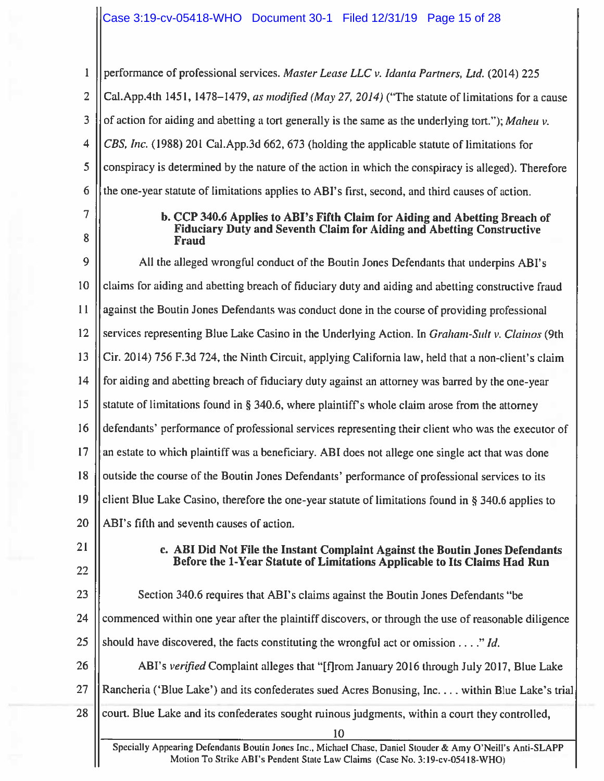# Case 3:19-cv-05418-WHO Document 30-1 Filed 12/31/19 Page 15 of 28

 $\mathbf{1}$ performance of professional services. Master Lease LLC v. Idanta Partners, Ltd. (2014) 225  $\overline{2}$ Cal.App.4th 1451, 1478–1479, as modified (May 27, 2014) ("The statute of limitations for a cause 3 of action for aiding and abetting a tort generally is the same as the underlying tort."); Maheu  $v$ .  $\overline{4}$ CBS, Inc. (1988) 201 Cal.App.3d 662, 673 (holding the applicable statute of limitations for conspiracy is determined by the nature of the action in which the conspiracy is alleged). Therefore 5 6 the one-year statute of limitations applies to ABI's first, second, and third causes of action.

 $\overline{7}$ 

8

#### b. CCP 340.6 Applies to ABI's Fifth Claim for Aiding and Abetting Breach of Fiduciary Duty and Seventh Claim for Aiding and Abetting Constructive **Fraud**

9 All the alleged wrongful conduct of the Boutin Jones Defendants that underpins ABI's  $10$ claims for aiding and abetting breach of fiduciary duty and aiding and abetting constructive fraud  $11$ against the Boutin Jones Defendants was conduct done in the course of providing professional 12 services representing Blue Lake Casino in the Underlying Action. In *Graham-Sulty. Clainos* (9th 13 Cir. 2014) 756 F.3d 724, the Ninth Circuit, applying California law, held that a non-client's claim  $14$ for aiding and abetting breach of fiduciary duty against an attorney was barred by the one-year statute of limitations found in § 340.6, where plaintiff's whole claim arose from the attorney 15 16 defendants' performance of professional services representing their client who was the executor of 17 an estate to which plaintiff was a beneficiary. ABI does not allege one single act that was done 18 outside the course of the Boutin Jones Defendants' performance of professional services to its 19 client Blue Lake Casino, therefore the one-year statute of limitations found in § 340.6 applies to ABI's fifth and seventh causes of action. 20

 $21$ 

22

## c. ABI Did Not File the Instant Complaint Against the Boutin Jones Defendants Before the 1-Year Statute of Limitations Applicable to Its Claims Had Run

23 Section 340.6 requires that ABI's claims against the Boutin Jones Defendants "be 24 commenced within one year after the plaintiff discovers, or through the use of reasonable diligence 25 should have discovered, the facts constituting the wrongful act or omission  $\dots$ ." Id. 26 ABI's verified Complaint alleges that "[f]rom January 2016 through July 2017, Blue Lake

27 Rancheria ('Blue Lake') and its confederates sued Acres Bonusing, Inc.... within Blue Lake's trial

28 court. Blue Lake and its confederates sought ruinous judgments, within a court they controlled,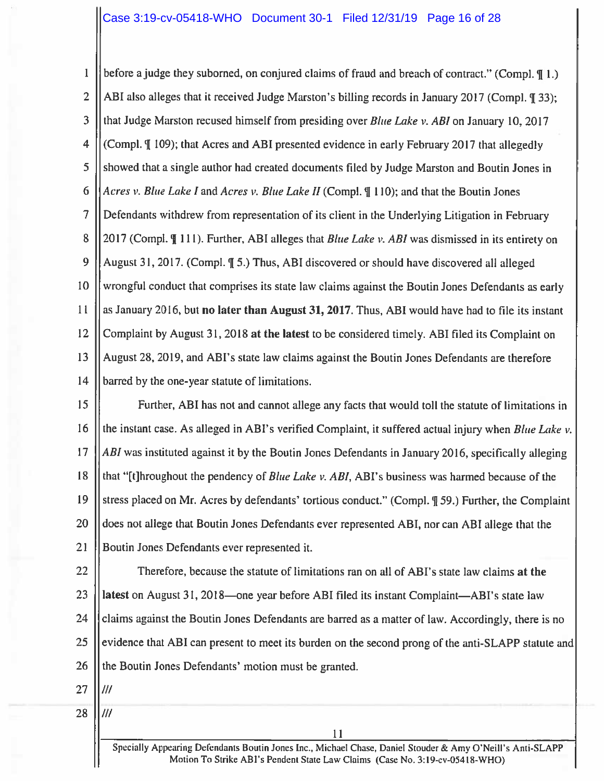$\mathbf{1}$ before a judge they suborned, on conjured claims of fraud and breach of contract." (Compl. \in 1.)  $\overline{2}$ ABI also alleges that it received Judge Marston's billing records in January 2017 (Compl. ¶ 33); 3 that Judge Marston recused himself from presiding over *Blue Lake v. ABI* on January 10, 2017  $\overline{4}$ (Compl. ¶ 109); that Acres and ABI presented evidence in early February 2017 that allegedly 5 showed that a single author had created documents filed by Judge Marston and Boutin Jones in Acres v. Blue Lake I and Acres v. Blue Lake II (Compl. ¶ 110); and that the Boutin Jones 6 7 Defendants withdrew from representation of its client in the Underlying Litigation in February 8 2017 (Compl. ¶ 111). Further, ABI alleges that *Blue Lake v. ABI* was dismissed in its entirety on 9 August 31, 2017. (Compl. 1 5.) Thus, ABI discovered or should have discovered all alleged wrongful conduct that comprises its state law claims against the Boutin Jones Defendants as early 10 11 as January 2016, but no later than August 31, 2017. Thus, ABI would have had to file its instant  $12$ Complaint by August 31, 2018 at the latest to be considered timely. ABI filed its Complaint on 13 August 28, 2019, and ABI's state law claims against the Boutin Jones Defendants are therefore  $14$ barred by the one-year statute of limitations.

15 Further, ABI has not and cannot allege any facts that would toll the statute of limitations in 16 the instant case. As alleged in ABI's verified Complaint, it suffered actual injury when Blue Lake v.  $17$ ABI was instituted against it by the Boutin Jones Defendants in January 2016, specifically alleging 18 that "[t]hroughout the pendency of Blue Lake v. ABI, ABI's business was harmed because of the 19 stress placed on Mr. Acres by defendants' tortious conduct." (Compl. ¶ 59.) Further, the Complaint 20 does not allege that Boutin Jones Defendants ever represented ABI, nor can ABI allege that the  $21$ Boutin Jones Defendants ever represented it.

22 Therefore, because the statute of limitations ran on all of ABI's state law claims at the 23 latest on August 31, 2018—one year before ABI filed its instant Complaint—ABI's state law 24 claims against the Boutin Jones Defendants are barred as a matter of law. Accordingly, there is no 25 evidence that ABI can present to meet its burden on the second prong of the anti-SLAPP statute and 26 the Boutin Jones Defendants' motion must be granted.

- 27  $III$
- 28 ///

Specially Appearing Defendants Boutin Jones Inc., Michael Chase, Daniel Stouder & Amy O'Neill's Anti-SLAPP Motion To Strike ABI's Pendent State Law Claims (Case No. 3:19-cv-05418-WHO)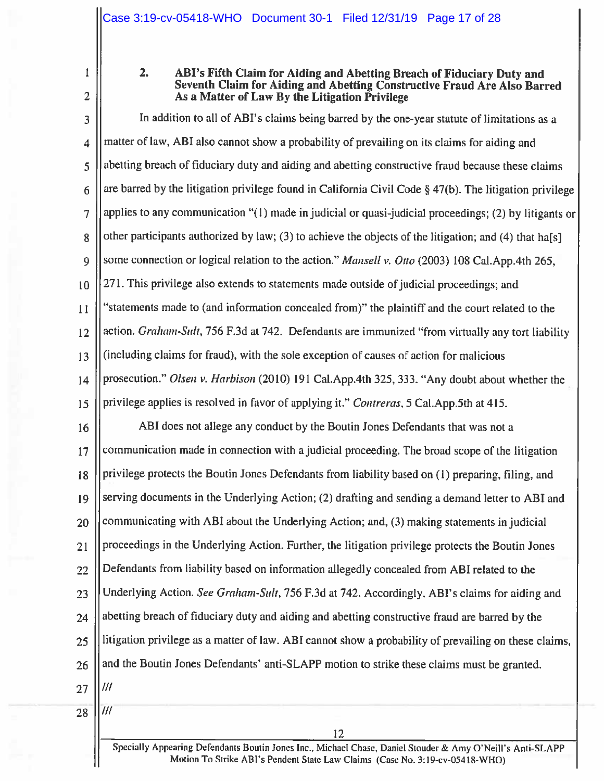$\mathbf{I}$  $\overline{2}$ 

#### $2.$ ABI's Fifth Claim for Aiding and Abetting Breach of Fiduciary Duty and Seventh Claim for Aiding and Abetting Constructive Fraud Are Also Barred As a Matter of Law By the Litigation Privilege

 $\overline{3}$ In addition to all of ABI's claims being barred by the one-year statute of limitations as a matter of law, ABI also cannot show a probability of prevailing on its claims for aiding and  $\overline{4}$ abetting breach of fiduciary duty and aiding and abetting constructive fraud because these claims 5 are barred by the litigation privilege found in California Civil Code  $\S$  47(b). The litigation privilege 6 applies to any communication "(1) made in judicial or quasi-judicial proceedings; (2) by litigants or  $\overline{7}$ other participants authorized by law; (3) to achieve the objects of the litigation; and (4) that ha[s] 8 some connection or logical relation to the action." Mansell v. Otto (2003) 108 Cal.App.4th 265.  $\overline{Q}$ 271. This privilege also extends to statements made outside of judicial proceedings; and 10 "statements made to (and information concealed from)" the plaintiff and the court related to the  $11$ action. Graham-Sult, 756 F.3d at 742. Defendants are immunized "from virtually any tort liability 12 (including claims for fraud), with the sole exception of causes of action for malicious 13 prosecution." Olsen v. Harbison (2010) 191 Cal. App. 4th 325, 333. "Any doubt about whether the  $14$ privilege applies is resolved in favor of applying it." Contreras, 5 Cal.App.5th at 415. 15

ABI does not allege any conduct by the Boutin Jones Defendants that was not a 16 communication made in connection with a judicial proceeding. The broad scope of the litigation  $17$ privilege protects the Boutin Jones Defendants from liability based on (1) preparing, filing, and 18 serving documents in the Underlying Action; (2) drafting and sending a demand letter to ABI and 19 communicating with ABI about the Underlying Action; and, (3) making statements in judicial 20 proceedings in the Underlying Action. Further, the litigation privilege protects the Boutin Jones  $21$ Defendants from liability based on information allegedly concealed from ABI related to the 22 Underlying Action. See Graham-Sult, 756 F.3d at 742. Accordingly, ABI's claims for aiding and 23 abetting breach of fiduciary duty and aiding and abetting constructive fraud are barred by the 24 litigation privilege as a matter of law. ABI cannot show a probability of prevailing on these claims, 25 and the Boutin Jones Defendants' anti-SLAPP motion to strike these claims must be granted. 26  $III$ 27

28

 $III$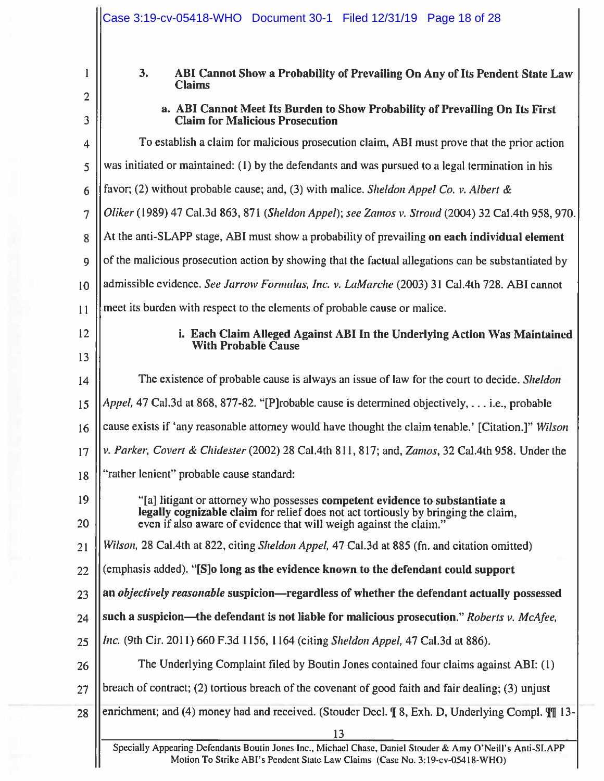|                | Case 3:19-cv-05418-WHO  Document 30-1  Filed 12/31/19  Page 18 of 28                                                                                                                       |  |
|----------------|--------------------------------------------------------------------------------------------------------------------------------------------------------------------------------------------|--|
| 1              | 3.<br>ABI Cannot Show a Probability of Prevailing On Any of Its Pendent State Law<br><b>Claims</b>                                                                                         |  |
| $\overline{2}$ | a. ABI Cannot Meet Its Burden to Show Probability of Prevailing On Its First                                                                                                               |  |
| 3              | <b>Claim for Malicious Prosecution</b>                                                                                                                                                     |  |
| 4              | To establish a claim for malicious prosecution claim, ABI must prove that the prior action                                                                                                 |  |
| 5              | was initiated or maintained: (1) by the defendants and was pursued to a legal termination in his                                                                                           |  |
| 6              | favor; (2) without probable cause; and, (3) with malice. Sheldon Appel Co. v. Albert &                                                                                                     |  |
| $\overline{7}$ | Oliker (1989) 47 Cal.3d 863, 871 (Sheldon Appel); see Zamos v. Stroud (2004) 32 Cal.4th 958, 970.                                                                                          |  |
| 8              | At the anti-SLAPP stage, ABI must show a probability of prevailing on each individual element                                                                                              |  |
| 9              | of the malicious prosecution action by showing that the factual allegations can be substantiated by                                                                                        |  |
| 10             | admissible evidence. See Jarrow Formulas, Inc. v. LaMarche (2003) 31 Cal.4th 728. ABI cannot                                                                                               |  |
| 11             | meet its burden with respect to the elements of probable cause or malice.                                                                                                                  |  |
| 12             | i. Each Claim Alleged Against ABI In the Underlying Action Was Maintained                                                                                                                  |  |
| 13             | <b>With Probable Cause</b>                                                                                                                                                                 |  |
| 14             | The existence of probable cause is always an issue of law for the court to decide. Sheldon                                                                                                 |  |
| 15             | Appel, 47 Cal.3d at 868, 877-82. "[P]robable cause is determined objectively, i.e., probable                                                                                               |  |
| 16             | cause exists if 'any reasonable attorney would have thought the claim tenable.' [Citation.]" Wilson                                                                                        |  |
| 17             | v. Parker, Covert & Chidester (2002) 28 Cal.4th 811, 817; and, Zamos, 32 Cal.4th 958. Under the                                                                                            |  |
| 18             | "rather lenient" probable cause standard:                                                                                                                                                  |  |
| 19             | "[a] litigant or attorney who possesses competent evidence to substantiate a                                                                                                               |  |
| 20             | legally cognizable claim for relief does not act tortiously by bringing the claim,<br>even if also aware of evidence that will weigh against the claim."                                   |  |
| 21             | Wilson, 28 Cal.4th at 822, citing Sheldon Appel, 47 Cal.3d at 885 (fn. and citation omitted)                                                                                               |  |
| 22             | (emphasis added). "[S]o long as the evidence known to the defendant could support                                                                                                          |  |
| 23             | an <i>objectively reasonable</i> suspicion—regardless of whether the defendant actually possessed                                                                                          |  |
| 24             | such a suspicion—the defendant is not liable for malicious prosecution." Roberts v. McAfee,                                                                                                |  |
| 25             | Inc. (9th Cir. 2011) 660 F.3d 1156, 1164 (citing Sheldon Appel, 47 Cal.3d at 886).                                                                                                         |  |
| 26             | The Underlying Complaint filed by Boutin Jones contained four claims against ABI: (1)                                                                                                      |  |
| 27             | breach of contract; (2) tortious breach of the covenant of good faith and fair dealing; (3) unjust                                                                                         |  |
| 28             | enrichment; and (4) money had and received. (Stouder Decl. ¶ 8, Exh. D, Underlying Compl. II 13-                                                                                           |  |
|                | 13                                                                                                                                                                                         |  |
|                | Specially Appearing Defendants Boutin Jones Inc., Michael Chase, Daniel Stouder & Amy O'Neill's Anti-SLAPP<br>Motion To Strike ABI's Pendent State Law Claims (Case No. 3:19-cv-05418-WHO) |  |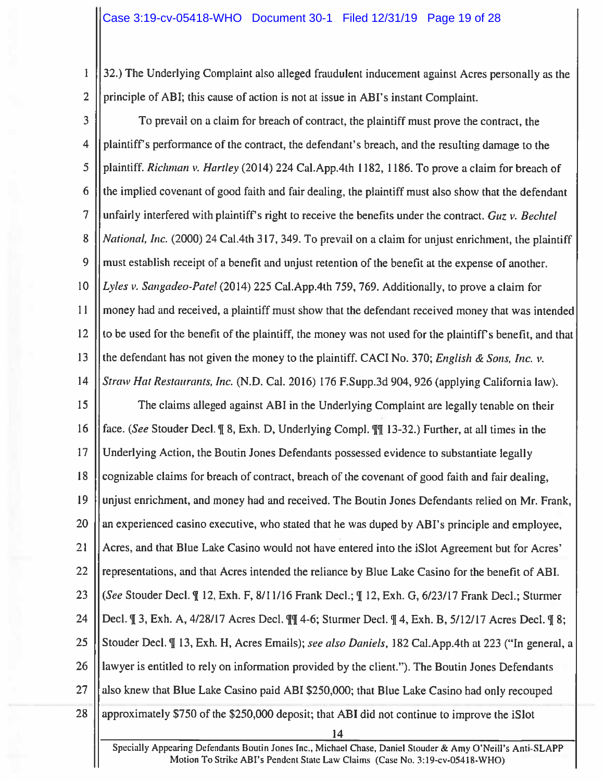32.) The Underlying Complaint also alleged fraudulent inducement against Acres personally as the  $\mathbf{I}$  $\overline{2}$ principle of ABI; this cause of action is not at issue in ABI's instant Complaint.

3 To prevail on a claim for breach of contract, the plaintiff must prove the contract, the plaintiff's performance of the contract, the defendant's breach, and the resulting damage to the 4 plaintiff. Richman v. Hartley (2014) 224 Cal.App.4th 1182, 1186. To prove a claim for breach of 5 the implied covenant of good faith and fair dealing, the plaintiff must also show that the defendant 6 7 unfairly interfered with plaintiff's right to receive the benefits under the contract. Guz v. Bechtel 8 *National, Inc.* (2000) 24 Cal.4th 317, 349. To prevail on a claim for unjust enrichment, the plaintiff 9 must establish receipt of a benefit and unjust retention of the benefit at the expense of another. 10 Lyles v. Sangadeo-Patel (2014) 225 Cal.App.4th 759, 769. Additionally, to prove a claim for money had and received, a plaintiff must show that the defendant received money that was intended  $11$ to be used for the benefit of the plaintiff, the money was not used for the plaintiff's benefit, and that 12 13 the defendant has not given the money to the plaintiff. CACI No. 370; English & Sons, Inc. v.  $14$ Straw Hat Restaurants, Inc. (N.D. Cal. 2016) 176 F.Supp.3d 904, 926 (applying California law). 15 The claims alleged against ABI in the Underlying Complaint are legally tenable on their 16 face. (See Stouder Decl. ¶ 8, Exh. D, Underlying Compl. ¶ 13-32.) Further, at all times in the  $17$ Underlying Action, the Boutin Jones Defendants possessed evidence to substantiate legally 18 cognizable claims for breach of contract, breach of the covenant of good faith and fair dealing, 19 unjust enrichment, and money had and received. The Boutin Jones Defendants relied on Mr. Frank,  $20$ an experienced casino executive, who stated that he was duped by ABI's principle and employee,  $21$ Acres, and that Blue Lake Casino would not have entered into the iSlot Agreement but for Acres' 22 representations, and that Acres intended the reliance by Blue Lake Casino for the benefit of ABI. 23 (See Stouder Decl. ¶ 12, Exh. F, 8/11/16 Frank Decl.; ¶ 12, Exh. G, 6/23/17 Frank Decl.; Sturmer 24 Decl. ¶ 3, Exh. A, 4/28/17 Acres Decl. ¶¶ 4-6; Sturmer Decl. ¶ 4, Exh. B, 5/12/17 Acres Decl. ¶ 8; 25 Stouder Decl. II 13, Exh. H, Acres Emails); see also Daniels, 182 Cal. App. 4th at 223 ("In general, a 26 lawyer is entitled to rely on information provided by the client."). The Boutin Jones Defendants 27 also knew that Blue Lake Casino paid ABI \$250,000; that Blue Lake Casino had only recouped 28 approximately \$750 of the \$250,000 deposit; that ABI did not continue to improve the iSlot 14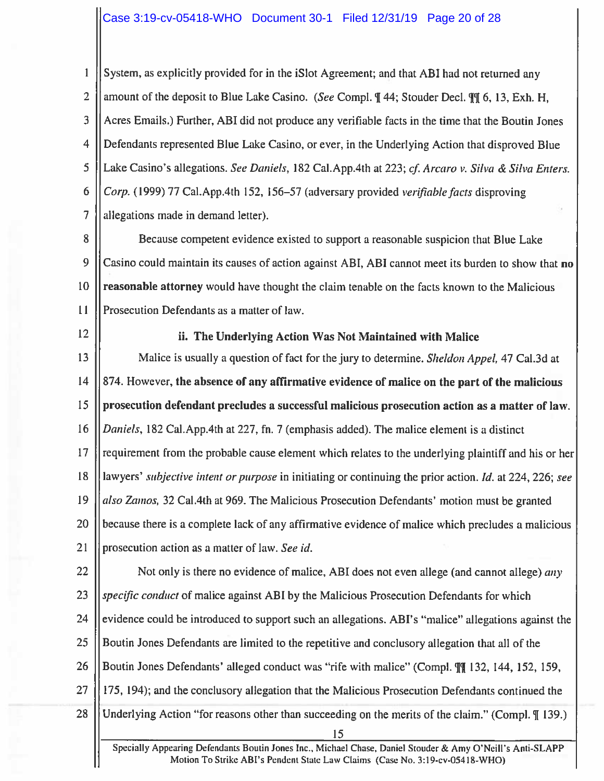$\mathbf{1}$ System, as explicitly provided for in the iSlot Agreement; and that ABI had not returned any  $\overline{2}$ amount of the deposit to Blue Lake Casino. (See Compl. ¶ 44; Stouder Decl. ¶[ 6, 13, Exh. H, 3 Acres Emails.) Further, ABI did not produce any verifiable facts in the time that the Boutin Jones 4 Defendants represented Blue Lake Casino, or ever, in the Underlying Action that disproved Blue 5 Lake Casino's allegations. See Daniels, 182 Cal. App. 4th at 223; cf. Arcaro v. Silva & Silva Enters. 6 Corp. (1999) 77 Cal.App.4th 152, 156–57 (adversary provided *verifiable facts* disproving  $\overline{7}$ allegations made in demand letter).

8 Because competent evidence existed to support a reasonable suspicion that Blue Lake 9 Casino could maintain its causes of action against ABI, ABI cannot meet its burden to show that no 10 reasonable attorney would have thought the claim tenable on the facts known to the Malicious  $11$ Prosecution Defendants as a matter of law.

12

# ii. The Underlying Action Was Not Maintained with Malice

13 Malice is usually a question of fact for the jury to determine. *Sheldon Appel*, 47 Cal.3d at  $14$ 874. However, the absence of any affirmative evidence of malice on the part of the malicious 15 prosecution defendant precludes a successful malicious prosecution action as a matter of law.  $16$ Daniels, 182 Cal.App.4th at 227, fn. 7 (emphasis added). The malice element is a distinct 17 requirement from the probable cause element which relates to the underlying plaintiff and his or her 18 lawyers' subjective intent or purpose in initiating or continuing the prior action. Id. at 224, 226; see 19 also Zamos, 32 Cal.4th at 969. The Malicious Prosecution Defendants' motion must be granted 20 because there is a complete lack of any affirmative evidence of malice which precludes a malicious  $21$ prosecution action as a matter of law. See id.

22 Not only is there no evidence of malice, ABI does not even allege (and cannot allege) any 23 specific conduct of malice against ABI by the Malicious Prosecution Defendants for which 24 evidence could be introduced to support such an allegations. ABI's "malice" allegations against the 25 Boutin Jones Defendants are limited to the repetitive and conclusory allegation that all of the 26 Boutin Jones Defendants' alleged conduct was "rife with malice" (Compl. T 132, 144, 152, 159, 175, 194); and the conclusory allegation that the Malicious Prosecution Defendants continued the 27 28 Underlying Action "for reasons other than succeeding on the merits of the claim." (Compl. \[\empthist] 139.) 15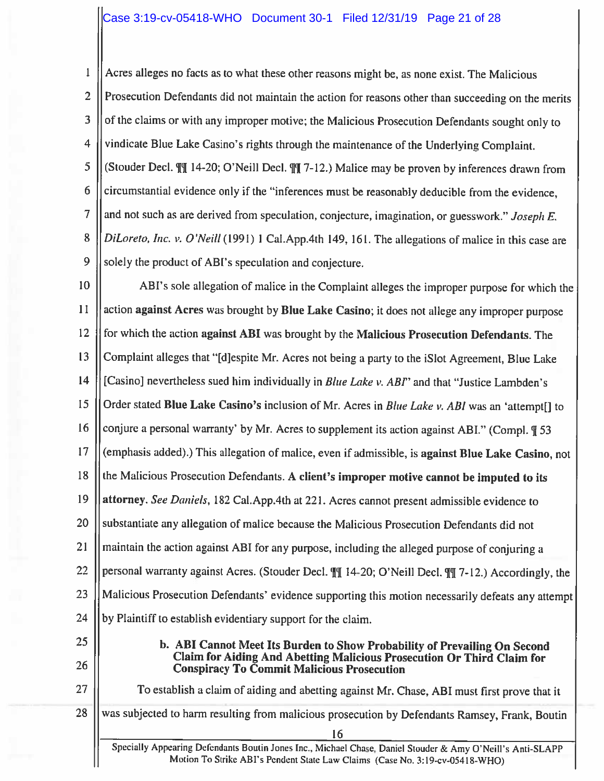Acres alleges no facts as to what these other reasons might be, as none exist. The Malicious  $\mathbf{1}$  $\overline{2}$ Prosecution Defendants did not maintain the action for reasons other than succeeding on the merits 3 of the claims or with any improper motive; the Malicious Prosecution Defendants sought only to vindicate Blue Lake Casino's rights through the maintenance of the Underlying Complaint.  $\overline{4}$ 5 (Stouder Decl.  $\mathbb{II}$  14-20; O'Neill Decl.  $\mathbb{II}$  7-12.) Malice may be proven by inferences drawn from circumstantial evidence only if the "inferences must be reasonably deducible from the evidence, 6  $\overline{7}$ and not such as are derived from speculation, conjecture, imagination, or guesswork." Joseph E. 8 DiLoreto, Inc. v. O'Neill (1991) 1 Cal.App.4th 149, 161. The allegations of malice in this case are 9 solely the product of ABI's speculation and conjecture.

10 ABI's sole allegation of malice in the Complaint alleges the improper purpose for which the 11 action against Acres was brought by Blue Lake Casino; it does not allege any improper purpose  $12$ for which the action against ABI was brought by the Malicious Prosecution Defendants. The 13 Complaint alleges that "[d]espite Mr. Acres not being a party to the iSlot Agreement, Blue Lake [Casino] nevertheless sued him individually in Blue Lake v. ABI' and that "Justice Lambden's  $14$ 15 Order stated Blue Lake Casino's inclusion of Mr. Acres in Blue Lake v. ABI was an 'attempt[] to 16 conjure a personal warranty' by Mr. Acres to supplement its action against ABI." (Compl. 953) 17 (emphasis added).) This allegation of malice, even if admissible, is against Blue Lake Casino, not the Malicious Prosecution Defendants. A client's improper motive cannot be imputed to its 18 19 attorney. See Daniels, 182 Cal.App.4th at 221. Acres cannot present admissible evidence to substantiate any allegation of malice because the Malicious Prosecution Defendants did not 20 21 maintain the action against ABI for any purpose, including the alleged purpose of conjuring a 22 personal warranty against Acres. (Stouder Decl. III 14-20; O'Neill Decl. III 7-12.) Accordingly, the 23 Malicious Prosecution Defendants' evidence supporting this motion necessarily defeats any attempt 24 by Plaintiff to establish evidentiary support for the claim. 25 b. ABI Cannot Meet Its Burden to Show Probability of Prevailing On Second

26

27

Claim for Aiding And Abetting Malicious Prosecution Or Third Claim for **Conspiracy To Commit Malicious Prosecution** 

To establish a claim of aiding and abetting against Mr. Chase, ABI must first prove that it

28 was subjected to harm resulting from malicious prosecution by Defendants Ramsey, Frank, Boutin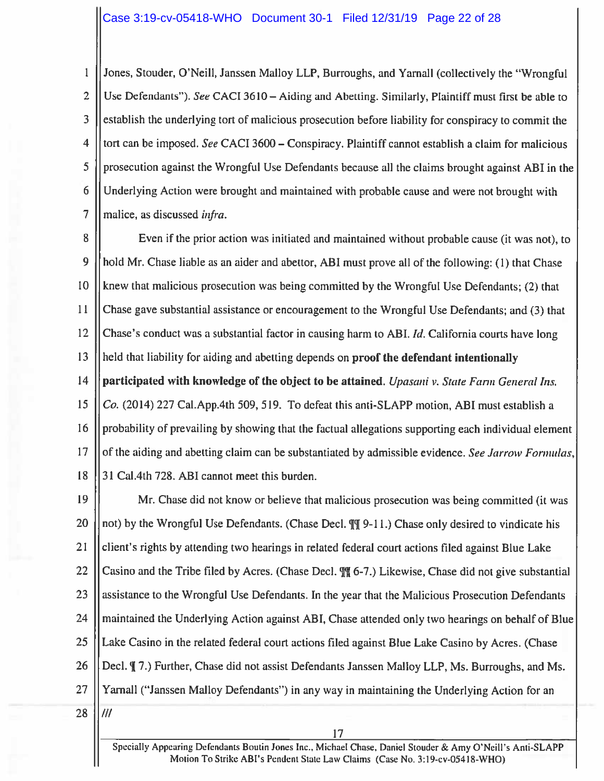Jones, Stouder, O'Neill, Janssen Malloy LLP, Burroughs, and Yarnall (collectively the "Wrongful  $\mathbf{1}$  $\overline{2}$ Use Defendants"). See CACI 3610 – Aiding and Abetting. Similarly, Plaintiff must first be able to 3 establish the underlying tort of malicious prosecution before liability for conspiracy to commit the  $\overline{\mathbf{4}}$ tort can be imposed. See CACI 3600 – Conspiracy. Plaintiff cannot establish a claim for malicious 5 prosecution against the Wrongful Use Defendants because all the claims brought against ABI in the 6 Underlying Action were brought and maintained with probable cause and were not brought with 7 malice, as discussed infra.

8 Even if the prior action was initiated and maintained without probable cause (it was not), to 9 hold Mr. Chase liable as an aider and abettor, ABI must prove all of the following: (1) that Chase 10 knew that malicious prosecution was being committed by the Wrongful Use Defendants; (2) that 11 Chase gave substantial assistance or encouragement to the Wrongful Use Defendants; and (3) that 12 Chase's conduct was a substantial factor in causing harm to ABI. Id. California courts have long held that liability for aiding and abetting depends on proof the defendant intentionally 13  $14$ participated with knowledge of the object to be attained. Upasani v. State Farm General Ins. 15 Co. (2014) 227 Cal. App. 4th 509, 519. To defeat this anti-SLAPP motion, ABI must establish a 16 probability of prevailing by showing that the factual allegations supporting each individual element 17 of the aiding and abetting claim can be substantiated by admissible evidence. See Jarrow Formulas, 18 31 Cal.4th 728. ABI cannot meet this burden.

19 Mr. Chase did not know or believe that malicious prosecution was being committed (it was 20 not) by the Wrongful Use Defendants. (Chase Decl. To 9-11.) Chase only desired to vindicate his  $21$ client's rights by attending two hearings in related federal court actions filed against Blue Lake 22 Casino and the Tribe filed by Acres. (Chase Decl.  $\sqrt[4]{6}$  –7.) Likewise, Chase did not give substantial 23 assistance to the Wrongful Use Defendants. In the year that the Malicious Prosecution Defendants 24 maintained the Underlying Action against ABI, Chase attended only two hearings on behalf of Blue 25 Lake Casino in the related federal court actions filed against Blue Lake Casino by Acres. (Chase 26 Decl. ¶ 7.) Further, Chase did not assist Defendants Janssen Malloy LLP, Ms. Burroughs, and Ms. 27 Yarnall ("Janssen Malloy Defendants") in any way in maintaining the Underlying Action for an

28

 $III$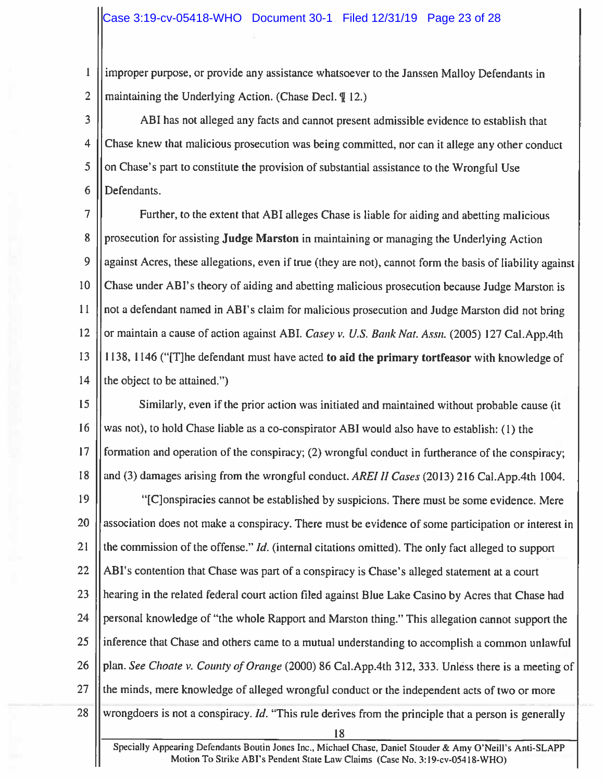$\mathbf{1}$ improper purpose, or provide any assistance whatsoever to the Janssen Malloy Defendants in  $\overline{2}$ maintaining the Underlying Action. (Chase Decl.  $\left(\begin{array}{c} \text{T} \\ \text{T} \\ \text{T} \\ \text{S} \\ \text{D} \\ \text{A} \\ \text{C} \\ \text{D} \\ \text{D} \\ \text{D} \\ \text{E} \\ \text{D} \\ \text{E} \\ \text{D} \\ \text{E} \\ \text{D} \\ \text{E} \\ \text{D} \\ \text{E} \\ \text{D} \\ \text{E} \\ \text{E} \\ \text{D} \\ \text{E} \\ \text{E} \\ \text{E} \\ \text{E} \\ \text{E$ 

3 ABI has not alleged any facts and cannot present admissible evidence to establish that  $\overline{4}$ Chase knew that malicious prosecution was being committed, nor can it allege any other conduct 5 on Chase's part to constitute the provision of substantial assistance to the Wrongful Use 6 Defendants.

7 Further, to the extent that ABI alleges Chase is liable for aiding and abetting malicious 8 prosecution for assisting **Judge Marston** in maintaining or managing the Underlying Action 9 against Acres, these allegations, even if true (they are not), cannot form the basis of liability against 10 Chase under ABI's theory of aiding and abetting malicious prosecution because Judge Marston is not a defendant named in ABI's claim for malicious prosecution and Judge Marston did not bring  $11$ 12 or maintain a cause of action against ABI. Casey v. U.S. Bank Nat. Assn. (2005) 127 Cal. App. 4th 1138, 1146 ("[T] he defendant must have acted to aid the primary tortfeasor with knowledge of 13  $14$ the object to be attained.")

15 Similarly, even if the prior action was initiated and maintained without probable cause (it 16 was not), to hold Chase liable as a co-conspirator ABI would also have to establish: (1) the 17 formation and operation of the conspiracy; (2) wrongful conduct in furtherance of the conspiracy; and (3) damages arising from the wrongful conduct. AREI II Cases (2013) 216 Cal.App.4th 1004. 18

19 "[C]onspiracies cannot be established by suspicions. There must be some evidence. Mere 20 association does not make a conspiracy. There must be evidence of some participation or interest in 21 the commission of the offense." *Id.* (internal citations omitted). The only fact alleged to support 22 ABI's contention that Chase was part of a conspiracy is Chase's alleged statement at a court 23 hearing in the related federal court action filed against Blue Lake Casino by Acres that Chase had 24 personal knowledge of "the whole Rapport and Marston thing." This allegation cannot support the 25 inference that Chase and others came to a mutual understanding to accomplish a common unlawful 26 plan. See Choate v. County of Orange (2000) 86 Cal. App. 4th 312, 333. Unless there is a meeting of 27 the minds, mere knowledge of alleged wrongful conduct or the independent acts of two or more 28 wrongdoers is not a conspiracy. Id. "This rule derives from the principle that a person is generally 18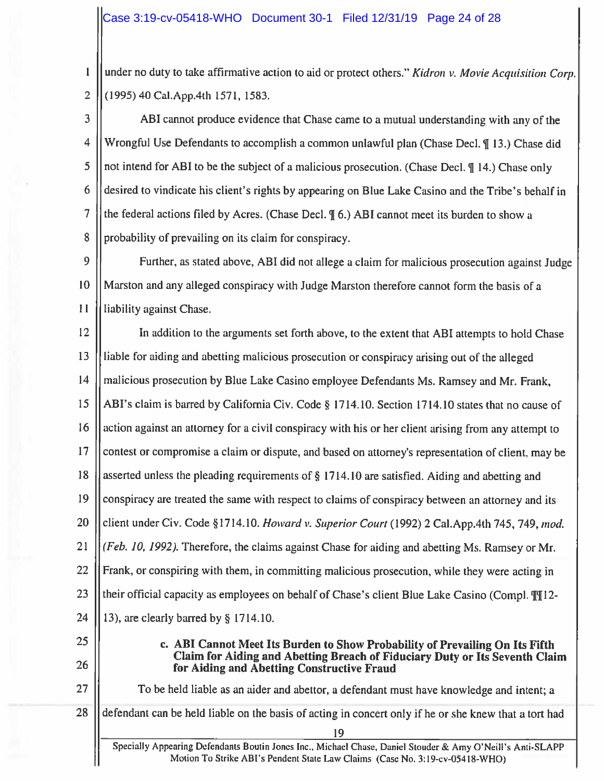under no duty to take affirmative action to aid or protect others." Kidron v. Movie Acquisition Corp.  $\mathbf{1}$  $\overline{2}$ (1995) 40 Cal.App.4th 1571, 1583.

3 ABI cannot produce evidence that Chase came to a mutual understanding with any of the  $\overline{4}$ Wrongful Use Defendants to accomplish a common unlawful plan (Chase Decl. ¶ 13.) Chase did not intend for ABI to be the subject of a malicious prosecution. (Chase Decl. ¶ 14.) Chase only 5 desired to vindicate his client's rights by appearing on Blue Lake Casino and the Tribe's behalf in 6  $\overline{7}$ the federal actions filed by Acres. (Chase Decl. II 6.) ABI cannot meet its burden to show a 8 probability of prevailing on its claim for conspiracy.

9 Further, as stated above, ABI did not allege a claim for malicious prosecution against Judge 10 Marston and any alleged conspiracy with Judge Marston therefore cannot form the basis of a  $11$ liability against Chase.

12 In addition to the arguments set forth above, to the extent that ABI attempts to hold Chase 13 liable for aiding and abetting malicious prosecution or conspiracy arising out of the alleged 14 malicious prosecution by Blue Lake Casino employee Defendants Ms. Ramsey and Mr. Frank, 15 ABI's claim is barred by California Civ. Code § 1714.10. Section 1714.10 states that no cause of 16 action against an attorney for a civil conspiracy with his or her client arising from any attempt to 17 contest or compromise a claim or dispute, and based on attorney's representation of client, may be 18 asserted unless the pleading requirements of § 1714.10 are satisfied. Aiding and abetting and 19 conspiracy are treated the same with respect to claims of conspiracy between an attorney and its 20 client under Civ. Code §1714.10. Howard v. Superior Court (1992) 2 Cal. App. 4th 745, 749, mod. 21 (Feb. 10, 1992). Therefore, the claims against Chase for aiding and abetting Ms. Ramsey or Mr. 22 Frank, or conspiring with them, in committing malicious prosecution, while they were acting in 23 their official capacity as employees on behalf of Chase's client Blue Lake Casino (Compl. 1112-24 13), are clearly barred by  $\S$  1714.10.

- 25
- 26

27

c. ABI Cannot Meet Its Burden to Show Probability of Prevailing On Its Fifth Claim for Aiding and Abetting Breach of Fiduciary Duty or Its Seventh Claim for Aiding and Abetting Constructive Fraud

To be held liable as an aider and abettor, a defendant must have knowledge and intent; a

defendant can be held liable on the basis of acting in concert only if he or she knew that a tort had 28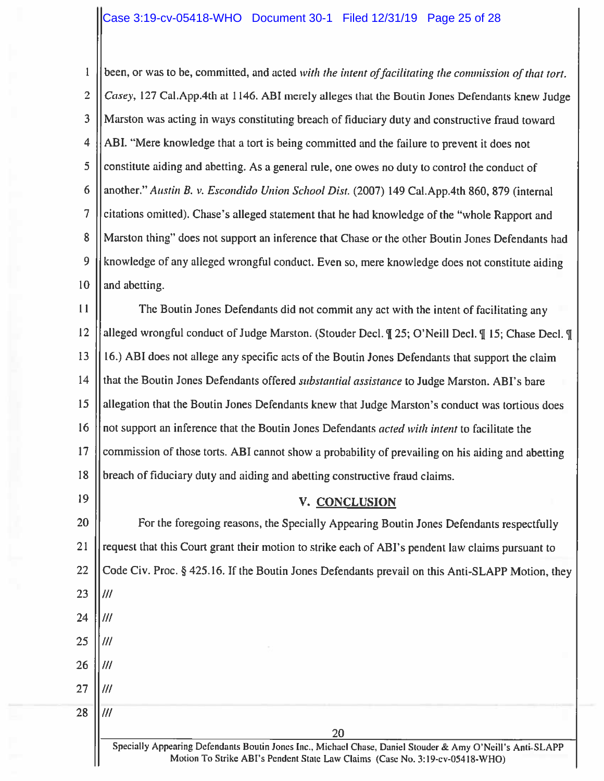$\mathbf{1}$ been, or was to be, committed, and acted with the intent of facilitating the commission of that tort.  $\overline{2}$ Casey, 127 Cal.App.4th at 1146. ABI merely alleges that the Boutin Jones Defendants knew Judge 3 Marston was acting in ways constituting breach of fiduciary duty and constructive fraud toward  $\overline{4}$ ABI. "Mere knowledge that a tort is being committed and the failure to prevent it does not 5 constitute aiding and abetting. As a general rule, one owes no duty to control the conduct of 6 another." Austin B. v. Escondido Union School Dist. (2007) 149 Cal. App. 4th 860, 879 (internal  $\overline{7}$ citations omitted). Chase's alleged statement that he had knowledge of the "whole Rapport and Marston thing" does not support an inference that Chase or the other Boutin Jones Defendants had 8 9 knowledge of any alleged wrongful conduct. Even so, mere knowledge does not constitute aiding 10 and abetting.

 $11$ The Boutin Jones Defendants did not commit any act with the intent of facilitating any 12 alleged wrongful conduct of Judge Marston. (Stouder Decl. ¶ 25; O'Neill Decl. ¶ 15; Chase Decl. ¶ 16.) ABI does not allege any specific acts of the Boutin Jones Defendants that support the claim 13 14 that the Boutin Jones Defendants offered *substantial assistance* to Judge Marston. ABI's bare 15 allegation that the Boutin Jones Defendants knew that Judge Marston's conduct was tortious does 16 not support an inference that the Boutin Jones Defendants *acted with intent* to facilitate the 17 commission of those torts. ABI cannot show a probability of prevailing on his aiding and abetting 18 breach of fiduciary duty and aiding and abetting constructive fraud claims.

19

# V. CONCLUSION

20 For the foregoing reasons, the Specially Appearing Boutin Jones Defendants respectfully 21 request that this Court grant their motion to strike each of ABI's pendent law claims pursuant to 22 Code Civ. Proc. § 425.16. If the Boutin Jones Defendants prevail on this Anti-SLAPP Motion, they 23  $III$ 24  $III$ 25  $III$ 26  $III$ 27  $III$ 28  $III$ 20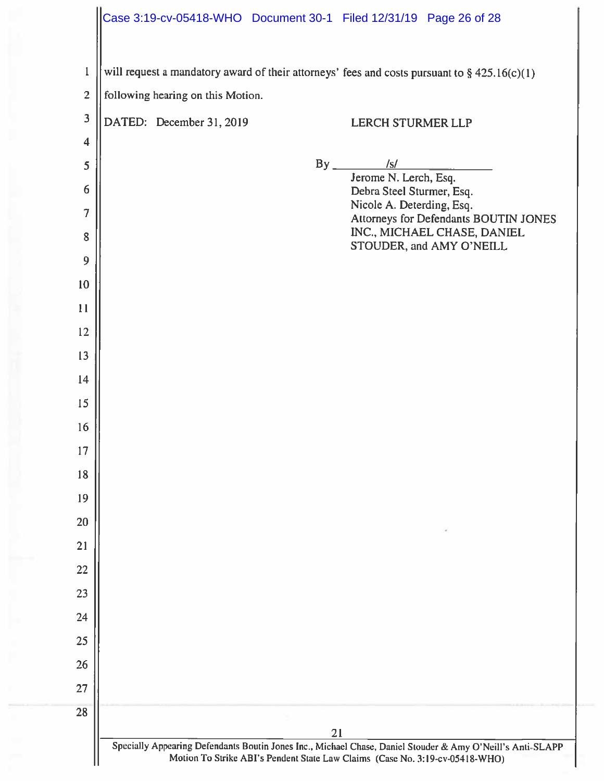|                         | Case 3:19-cv-05418-WHO Document 30-1 Filed 12/31/19 Page 26 of 28                                                                                                                          |
|-------------------------|--------------------------------------------------------------------------------------------------------------------------------------------------------------------------------------------|
| $\mathbf{1}$            | will request a mandatory award of their attorneys' fees and costs pursuant to $\S$ 425.16(c)(1)                                                                                            |
| $\overline{2}$          | following hearing on this Motion.                                                                                                                                                          |
| $\overline{\mathbf{3}}$ | DATED: December 31, 2019<br><b>LERCH STURMER LLP</b>                                                                                                                                       |
| 4                       |                                                                                                                                                                                            |
| 5                       | $By$ /s/<br>Jerome N. Lerch, Esq.                                                                                                                                                          |
| 6                       | Debra Steel Sturmer, Esq.                                                                                                                                                                  |
| 7                       | Nicole A. Deterding, Esq.<br>Attorneys for Defendants BOUTIN JONES                                                                                                                         |
| 8<br>9                  | INC., MICHAEL CHASE, DANIEL<br>STOUDER, and AMY O'NEILL                                                                                                                                    |
| 10                      |                                                                                                                                                                                            |
| 11                      |                                                                                                                                                                                            |
| 12                      |                                                                                                                                                                                            |
| 13                      |                                                                                                                                                                                            |
| 14                      |                                                                                                                                                                                            |
| 15                      |                                                                                                                                                                                            |
| 16                      |                                                                                                                                                                                            |
| 17                      |                                                                                                                                                                                            |
| 18                      |                                                                                                                                                                                            |
| 19                      |                                                                                                                                                                                            |
| 20                      |                                                                                                                                                                                            |
| 21                      |                                                                                                                                                                                            |
| 22                      |                                                                                                                                                                                            |
| 23                      |                                                                                                                                                                                            |
| 24                      |                                                                                                                                                                                            |
| 25                      |                                                                                                                                                                                            |
| 26<br>27                |                                                                                                                                                                                            |
| 28                      |                                                                                                                                                                                            |
|                         | 21                                                                                                                                                                                         |
|                         | Specially Appearing Defendants Boutin Jones Inc., Michael Chase, Daniel Stouder & Amy O'Neill's Anti-SLAPP<br>Motion To Strike ABI's Pendent State Law Claims (Case No. 3:19-cv-05418-WHO) |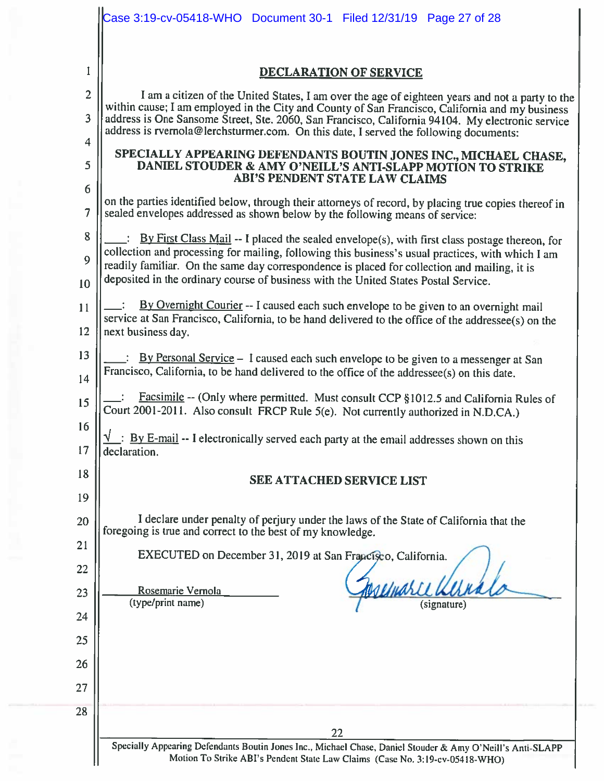|                | Case 3:19-cv-05418-WHO  Document 30-1  Filed 12/31/19  Page 27 of 28                                                                                                                                                                                                                                                                                                                                                                                                                                                                                                       |  |  |
|----------------|----------------------------------------------------------------------------------------------------------------------------------------------------------------------------------------------------------------------------------------------------------------------------------------------------------------------------------------------------------------------------------------------------------------------------------------------------------------------------------------------------------------------------------------------------------------------------|--|--|
|                |                                                                                                                                                                                                                                                                                                                                                                                                                                                                                                                                                                            |  |  |
| I              | <b>DECLARATION OF SERVICE</b>                                                                                                                                                                                                                                                                                                                                                                                                                                                                                                                                              |  |  |
| $\overline{2}$ | I am a citizen of the United States, I am over the age of eighteen years and not a party to the<br>within cause; I am employed in the City and County of San Francisco, California and my business<br>address is One Sansome Street, Ste. 2060, San Francisco, California 94104. My electronic service<br>address is rvernola@lerchsturmer.com. On this date, I served the following documents:<br>SPECIALLY APPEARING DEFENDANTS BOUTIN JONES INC., MICHAEL CHASE,<br>DANIEL STOUDER & AMY O'NEILL'S ANTI-SLAPP MOTION TO STRIKE<br><b>ABI'S PENDENT STATE LAW CLAIMS</b> |  |  |
| 3              |                                                                                                                                                                                                                                                                                                                                                                                                                                                                                                                                                                            |  |  |
| 4<br>5         |                                                                                                                                                                                                                                                                                                                                                                                                                                                                                                                                                                            |  |  |
| 6              |                                                                                                                                                                                                                                                                                                                                                                                                                                                                                                                                                                            |  |  |
| 7              | on the parties identified below, through their attorneys of record, by placing true copies thereof in<br>sealed envelopes addressed as shown below by the following means of service:                                                                                                                                                                                                                                                                                                                                                                                      |  |  |
| 8              | By First Class Mail -- I placed the sealed envelope(s), with first class postage thereon, for                                                                                                                                                                                                                                                                                                                                                                                                                                                                              |  |  |
| 9              | collection and processing for mailing, following this business's usual practices, with which I am<br>readily familiar. On the same day correspondence is placed for collection and mailing, it is                                                                                                                                                                                                                                                                                                                                                                          |  |  |
| 10             | deposited in the ordinary course of business with the United States Postal Service.                                                                                                                                                                                                                                                                                                                                                                                                                                                                                        |  |  |
| 11             | By Overnight Courier -- I caused each such envelope to be given to an overnight mail<br>service at San Francisco, California, to be hand delivered to the office of the addressee(s) on the<br>next business day.                                                                                                                                                                                                                                                                                                                                                          |  |  |
| 12             |                                                                                                                                                                                                                                                                                                                                                                                                                                                                                                                                                                            |  |  |
| 13             | : By Personal Service - I caused each such envelope to be given to a messenger at San<br>Francisco, California, to be hand delivered to the office of the addressee(s) on this date.                                                                                                                                                                                                                                                                                                                                                                                       |  |  |
| 14             |                                                                                                                                                                                                                                                                                                                                                                                                                                                                                                                                                                            |  |  |
| 15             | Facsimile -- (Only where permitted. Must consult CCP §1012.5 and California Rules of<br>Court 2001-2011. Also consult FRCP Rule 5(e). Not currently authorized in N.D.CA.)                                                                                                                                                                                                                                                                                                                                                                                                 |  |  |
| 16<br>17       | By E-mail -- I electronically served each party at the email addresses shown on this<br>declaration.                                                                                                                                                                                                                                                                                                                                                                                                                                                                       |  |  |
| 18             | <b>SEE ATTACHED SERVICE LIST</b>                                                                                                                                                                                                                                                                                                                                                                                                                                                                                                                                           |  |  |
| 19             |                                                                                                                                                                                                                                                                                                                                                                                                                                                                                                                                                                            |  |  |
| 20             | I declare under penalty of perjury under the laws of the State of California that the<br>foregoing is true and correct to the best of my knowledge.                                                                                                                                                                                                                                                                                                                                                                                                                        |  |  |
| 21             | EXECUTED on December 31, 2019 at San Francisco, California.                                                                                                                                                                                                                                                                                                                                                                                                                                                                                                                |  |  |
| 22             |                                                                                                                                                                                                                                                                                                                                                                                                                                                                                                                                                                            |  |  |
| 23             | Rosemarie Vernola<br>(type/print name)<br>(signature)                                                                                                                                                                                                                                                                                                                                                                                                                                                                                                                      |  |  |
| 24             |                                                                                                                                                                                                                                                                                                                                                                                                                                                                                                                                                                            |  |  |
| 25             |                                                                                                                                                                                                                                                                                                                                                                                                                                                                                                                                                                            |  |  |
| 26             |                                                                                                                                                                                                                                                                                                                                                                                                                                                                                                                                                                            |  |  |
| 27             |                                                                                                                                                                                                                                                                                                                                                                                                                                                                                                                                                                            |  |  |
| 28             |                                                                                                                                                                                                                                                                                                                                                                                                                                                                                                                                                                            |  |  |
|                | 22                                                                                                                                                                                                                                                                                                                                                                                                                                                                                                                                                                         |  |  |